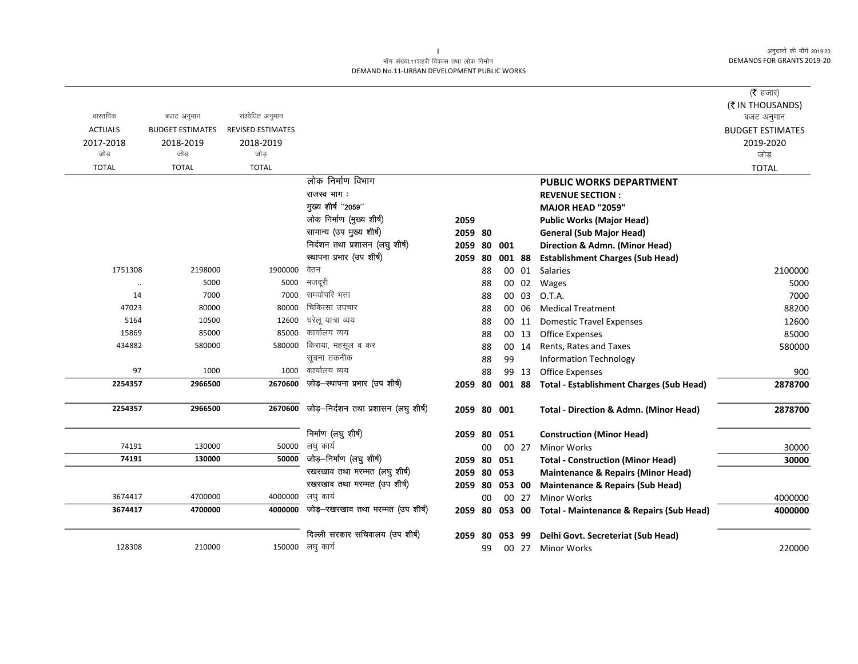$\overline{\phantom{0}}$ 

### माँग संख्या.11शहरी विकास तथा लोक निर्माण DEMAND No.11-URBAN DEVELOPMENT PUBLIC WORKS

|                |                         |                          |                                      |             |     |           |       |                                                     | ( $\bar{\tau}$ हजार)           |
|----------------|-------------------------|--------------------------|--------------------------------------|-------------|-----|-----------|-------|-----------------------------------------------------|--------------------------------|
| वास्तविक       | बजट अनुमान              | संशोधित अनुमान           |                                      |             |     |           |       |                                                     | (₹ IN THOUSANDS)<br>बजट अनुमान |
| <b>ACTUALS</b> | <b>BUDGET ESTIMATES</b> | <b>REVISED ESTIMATES</b> |                                      |             |     |           |       |                                                     | <b>BUDGET ESTIMATES</b>        |
| 2017-2018      | 2018-2019               | 2018-2019                |                                      |             |     |           |       |                                                     | 2019-2020                      |
| जोड            | जोड                     | जोड                      |                                      |             |     |           |       |                                                     | जोड                            |
| <b>TOTAL</b>   | <b>TOTAL</b>            | <b>TOTAL</b>             |                                      |             |     |           |       |                                                     | <b>TOTAL</b>                   |
|                |                         |                          | लोक निर्माण विभाग                    |             |     |           |       | <b>PUBLIC WORKS DEPARTMENT</b>                      |                                |
|                |                         |                          | राजस्व भाग :                         |             |     |           |       | <b>REVENUE SECTION:</b>                             |                                |
|                |                         |                          | मुख्य शीर्ष "2059"                   |             |     |           |       | <b>MAJOR HEAD "2059"</b>                            |                                |
|                |                         |                          | लोक निर्माण (मुख्य शीर्ष)            | 2059        |     |           |       | <b>Public Works (Major Head)</b>                    |                                |
|                |                         |                          | सामान्य (उप मुख्य शीर्ष)             | 2059 80     |     |           |       | <b>General (Sub Major Head)</b>                     |                                |
|                |                         |                          | निर्दशन तथा प्रशासन (लघु शीर्ष)      | 2059        | 80  | 001       |       | Direction & Admn. (Minor Head)                      |                                |
|                |                         |                          | स्थापना प्रभार (उप शीर्ष)            | 2059        | -80 | 001 88    |       | <b>Establishment Charges (Sub Head)</b>             |                                |
| 1751308        | 2198000                 | 1900000                  | वेतन                                 |             | 88  |           | 00 01 | <b>Salaries</b>                                     | 2100000                        |
|                | 5000                    | 5000                     | मजदूरी                               |             | 88  |           | 00 02 | Wages                                               | 5000                           |
| 14             | 7000                    | 7000                     | समयोपरि भत्ता                        |             | 88  |           | 00 03 | O.T.A.                                              | 7000                           |
| 47023          | 80000                   | 80000                    | चिकित्सा उपचार                       |             | 88  |           | 00 06 | <b>Medical Treatment</b>                            | 88200                          |
| 5164           | 10500                   | 12600                    | घरेलू यात्रा व्यय                    |             | 88  |           | 00 11 | <b>Domestic Travel Expenses</b>                     | 12600                          |
| 15869          | 85000                   | 85000                    | कार्यालय व्यय                        |             | 88  |           | 00 13 | Office Expenses                                     | 85000                          |
| 434882         | 580000                  | 580000                   | किराया, महसूल व कर                   |             | 88  |           | 00 14 | Rents, Rates and Taxes                              | 580000                         |
|                |                         |                          | सूचना तकनीक                          |             | 88  | 99        |       | <b>Information Technology</b>                       |                                |
| 97             | 1000                    | 1000                     | कार्यालय व्यय                        |             | 88  |           | 99 13 | <b>Office Expenses</b>                              | 900                            |
| 2254357        | 2966500                 | 2670600                  | जोड़-स्थापना प्रभार (उप शीर्ष)       | 2059        | 80  | 001 88    |       | <b>Total - Establishment Charges (Sub Head)</b>     | 2878700                        |
| 2254357        | 2966500                 | 2670600                  | जोड़-निर्दशन तथा प्रशासन (लघु शीर्ष) | 2059 80 001 |     |           |       | <b>Total - Direction &amp; Admn. (Minor Head)</b>   | 2878700                        |
|                |                         |                          | निर्माण (लघु शीर्ष)                  | 2059        |     | 80 051    |       | <b>Construction (Minor Head)</b>                    |                                |
| 74191          | 130000                  | 50000                    | लघु कार्य                            |             | 00  |           | 00 27 | <b>Minor Works</b>                                  | 30000                          |
| 74191          | 130000                  | 50000                    | जोड़-निर्माण (लघु शीर्ष)             | 2059        | 80  | 051       |       | <b>Total - Construction (Minor Head)</b>            | 30000                          |
|                |                         |                          | रखरखाव तथा मरम्मत (लघु शीर्ष)        | 2059        | 80  | 053       |       | <b>Maintenance &amp; Repairs (Minor Head)</b>       |                                |
|                |                         |                          | रखरखाव तथा मरम्मत (उप शीर्ष)         | 2059        |     | 80 053 00 |       | <b>Maintenance &amp; Repairs (Sub Head)</b>         |                                |
| 3674417        | 4700000                 | 4000000                  | लघु कार्य                            |             | 00  |           | 00 27 | <b>Minor Works</b>                                  | 4000000                        |
| 3674417        | 4700000                 | 4000000                  | जोड़–रखरखाव तथा मरम्मत (उप शीर्ष)    | 2059        |     | 80 053 00 |       | <b>Total - Maintenance &amp; Repairs (Sub Head)</b> | 4000000                        |
|                |                         |                          | दिल्ली सरकार सचिवालय (उप शीर्ष)      | 2059        | 80  | 053 99    |       | Delhi Govt. Secreteriat (Sub Head)                  |                                |
| 128308         | 210000                  |                          | 150000 लघु कार्य                     |             | 99  |           | 00 27 | <b>Minor Works</b>                                  | 220000                         |
|                |                         |                          |                                      |             |     |           |       |                                                     |                                |

 $\mathbf{L}$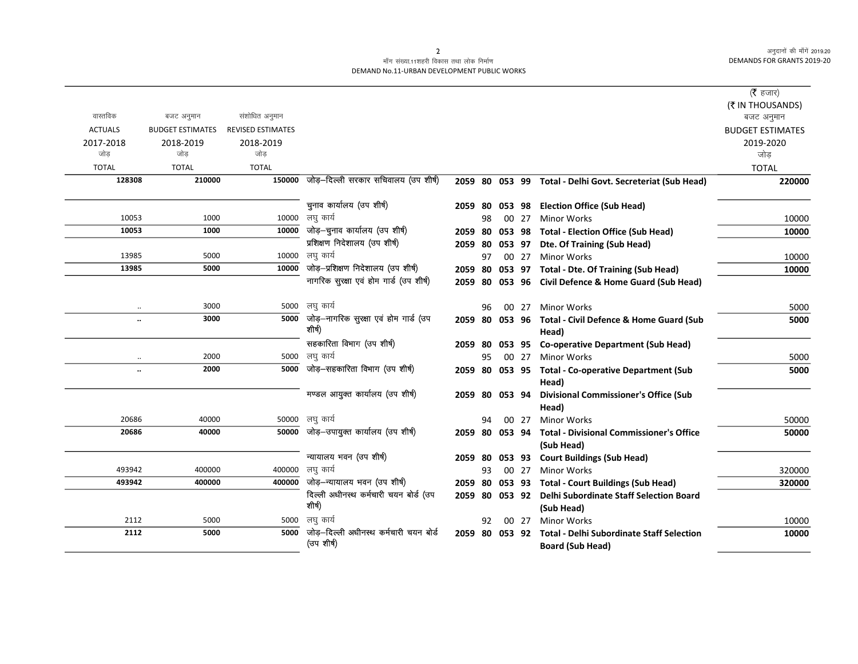#### माँग संख्या.11शहरी विकास तथा लोक निर्माण DEMAND No.11-URBAN DEVELOPMENT PUBLIC WORKS

|                |                         |                          |                                                       |         |    |        |       |                                                           | ( <b>रै</b> हजार)       |
|----------------|-------------------------|--------------------------|-------------------------------------------------------|---------|----|--------|-------|-----------------------------------------------------------|-------------------------|
|                |                         |                          |                                                       |         |    |        |       |                                                           | (₹ IN THOUSANDS)        |
| वास्तविक       | बजट अनुमान              | संशोधित अनुमान           |                                                       |         |    |        |       |                                                           | बजट अनुमान              |
| <b>ACTUALS</b> | <b>BUDGET ESTIMATES</b> | <b>REVISED ESTIMATES</b> |                                                       |         |    |        |       |                                                           | <b>BUDGET ESTIMATES</b> |
| 2017-2018      | 2018-2019               | 2018-2019                |                                                       |         |    |        |       |                                                           | 2019-2020               |
| जोड            | जोड                     | जोड                      |                                                       |         |    |        |       |                                                           | जोड                     |
| <b>TOTAL</b>   | <b>TOTAL</b>            | <b>TOTAL</b>             |                                                       |         |    |        |       |                                                           | <b>TOTAL</b>            |
| 128308         | 210000                  | 150000                   | जोड़-दिल्ली सरकार सचिवालय (उप शीर्ष)                  |         |    |        |       | 2059 80 053 99 Total - Delhi Govt. Secreteriat (Sub Head) | 220000                  |
|                |                         |                          | चुनाव कार्यालय (उप शीर्ष)                             |         |    |        |       |                                                           |                         |
|                |                         |                          |                                                       |         |    |        |       | 2059 80 053 98 Election Office (Sub Head)                 |                         |
| 10053          | 1000                    |                          | 10000 लघु कार्य<br>जोड़—चुनाव कार्यालय (उप शीर्ष)     |         | 98 |        | 00 27 | <b>Minor Works</b>                                        | 10000                   |
| 10053          | 1000                    | 10000                    | प्रशिक्षण निदेशालय (उप शीर्ष)                         |         |    |        |       | 2059 80 053 98 Total - Election Office (Sub Head)         | 10000                   |
|                |                         |                          |                                                       | 2059 80 |    |        |       | 053 97 Dte. Of Training (Sub Head)                        |                         |
| 13985          | 5000                    |                          | 10000 लघु कार्य                                       |         | 97 |        | 00 27 | <b>Minor Works</b>                                        | 10000                   |
| 13985          | 5000                    |                          | $\overline{10000}$ जोड़-प्रशिक्षण निदेशालय (उप शीर्ष) | 2059 80 |    |        |       | 053 97 Total - Dte. Of Training (Sub Head)                | 10000                   |
|                |                         |                          | नागरिक सुरक्षा एवं होम गार्ड (उप शीर्ष)               |         |    |        |       | 2059 80 053 96 Civil Defence & Home Guard (Sub Head)      |                         |
|                |                         |                          |                                                       |         |    |        |       |                                                           |                         |
| $\ddotsc$      | 3000                    |                          | 5000 लघु कार्य                                        |         | 96 |        | 00 27 | <b>Minor Works</b>                                        | 5000                    |
| $\ddotsc$      | 3000                    |                          | 5000 जोड़-नागरिक सुरक्षा एवं होम गार्ड (उप<br>शीर्ष)  | 2059 80 |    | 053 96 |       | Total - Civil Defence & Home Guard (Sub                   | 5000                    |
|                |                         |                          |                                                       |         |    |        |       | Head)                                                     |                         |
|                |                         |                          | सहकारिता विभाग (उप शीर्ष)                             |         |    |        |       | 2059 80 053 95 Co-operative Department (Sub Head)         |                         |
| $\cdot\cdot$   | 2000                    |                          | 5000 लघु कार्य                                        |         | 95 |        | 00 27 | <b>Minor Works</b>                                        | 5000                    |
| $\ddotsc$      | 2000                    | 5000                     | जोड़-सहकारिता विभाग (उप शीर्ष)                        |         |    |        |       | 2059 80 053 95 Total - Co-operative Department (Sub       | 5000                    |
|                |                         |                          |                                                       |         |    |        |       | Head)                                                     |                         |
|                |                         |                          | मण्डल आयुक्त कार्यालय (उप शीर्ष)                      |         |    |        |       | 2059 80 053 94 Divisional Commissioner's Office (Sub      |                         |
|                |                         |                          |                                                       |         |    |        |       | Head)                                                     |                         |
| 20686          | 40000                   |                          | 50000 लघु कार्य                                       |         | 94 |        | 00 27 | <b>Minor Works</b>                                        | 50000                   |
| 20686          | 40000                   |                          | 50000 जोड़-उपायुक्त कार्यालय (उप शीर्ष)               | 2059 80 |    | 053 94 |       | <b>Total - Divisional Commissioner's Office</b>           | 50000                   |
|                |                         |                          |                                                       |         |    |        |       | (Sub Head)                                                |                         |
|                |                         |                          | न्यायालय भवन (उप शीर्ष)                               |         |    |        |       | 2059 80 053 93 Court Buildings (Sub Head)                 |                         |
| 493942         | 400000                  |                          | 400000 लघु कार्य                                      |         | 93 |        | 00 27 | <b>Minor Works</b>                                        | 320000                  |
| 493942         | 400000                  |                          | 400000 जोड़-न्यायालय भवन (उप शीर्ष)                   |         |    |        |       | 2059 80 053 93 Total - Court Buildings (Sub Head)         | 320000                  |
|                |                         |                          | दिल्ली अधीनस्थ कर्मचारी चयन बोर्ड (उप                 |         |    |        |       | 2059 80 053 92 Delhi Subordinate Staff Selection Board    |                         |
|                |                         |                          | शीर्ष)                                                |         |    |        |       | (Sub Head)                                                |                         |
| 2112           | 5000                    |                          | 5000 लघु कार्य                                        |         | 92 |        | 00 27 | <b>Minor Works</b>                                        | 10000                   |
| 2112           | 5000                    | 5000                     | जोड–दिल्ली अधीनस्थ कर्मचारी चयन बोर्ड                 |         |    |        |       | 2059 80 053 92 Total - Delhi Subordinate Staff Selection  | 10000                   |
|                |                         |                          | (उप शीर्ष)                                            |         |    |        |       | <b>Board (Sub Head)</b>                                   |                         |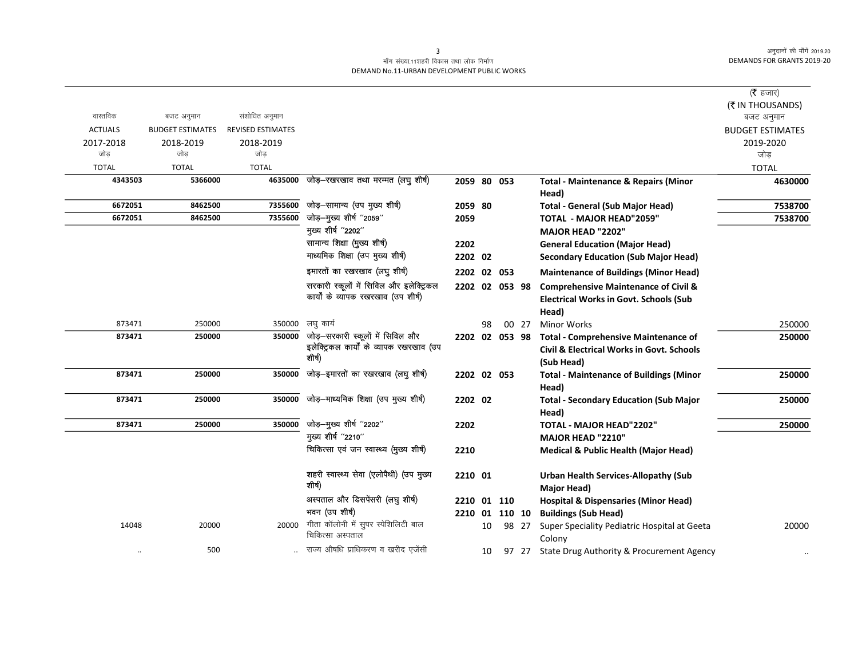### माँग संख्या.11शहरी विकास तथा लोक निर्माण DEMAND No.11-URBAN DEVELOPMENT PUBLIC WORKS

|                |                         |                          |                                                                              |                |    |       |                                                         | ( $\bar{\tau}$ हजार)           |
|----------------|-------------------------|--------------------------|------------------------------------------------------------------------------|----------------|----|-------|---------------------------------------------------------|--------------------------------|
| वास्तविक       | बजट अनुमान              | संशोधित अनुमान           |                                                                              |                |    |       |                                                         | (₹ IN THOUSANDS)<br>बजट अनुमान |
| <b>ACTUALS</b> | <b>BUDGET ESTIMATES</b> | <b>REVISED ESTIMATES</b> |                                                                              |                |    |       |                                                         | <b>BUDGET ESTIMATES</b>        |
| 2017-2018      | 2018-2019               | 2018-2019                |                                                                              |                |    |       |                                                         | 2019-2020                      |
| जोड            | जोड                     | जोड                      |                                                                              |                |    |       |                                                         | जोड़                           |
| <b>TOTAL</b>   | <b>TOTAL</b>            | <b>TOTAL</b>             |                                                                              |                |    |       |                                                         | <b>TOTAL</b>                   |
| 4343503        | 5366000                 | 4635000                  | जोड़–रखरखाव तथा मरम्मत (लघु शीर्ष)                                           | 2059 80 053    |    |       | <b>Total - Maintenance &amp; Repairs (Minor</b>         | 4630000                        |
|                |                         |                          |                                                                              |                |    |       | Head)                                                   |                                |
| 6672051        | 8462500                 | 7355600                  | जोड़–सामान्य (उप मुख्य शीर्ष)                                                | 2059 80        |    |       | <b>Total - General (Sub Major Head)</b>                 | 7538700                        |
| 6672051        | 8462500                 | 7355600                  | जोड़-मुख्य शीर्ष "2059"                                                      | 2059           |    |       | <b>TOTAL - MAJOR HEAD"2059"</b>                         | 7538700                        |
|                |                         |                          | मुख्य शीर्ष "2202"                                                           |                |    |       | MAJOR HEAD "2202"                                       |                                |
|                |                         |                          | सामान्य शिक्षा (मुख्य शीर्ष)                                                 | 2202           |    |       | <b>General Education (Major Head)</b>                   |                                |
|                |                         |                          | माध्यमिक शिक्षा (उप मुख्य शीर्ष)                                             | 2202 02        |    |       | <b>Secondary Education (Sub Major Head)</b>             |                                |
|                |                         |                          | इमारतों का रखरखाव (लघु शीर्ष)                                                | 2202 02 053    |    |       | <b>Maintenance of Buildings (Minor Head)</b>            |                                |
|                |                         |                          | सरकारी स्कूलों में सिविल और इलेक्ट्रिकल                                      | 2202 02 053 98 |    |       | <b>Comprehensive Maintenance of Civil &amp;</b>         |                                |
|                |                         |                          | कार्यों के व्यापक रखरखाव (उप शीर्ष)                                          |                |    |       | <b>Electrical Works in Govt. Schools (Sub</b>           |                                |
|                |                         |                          |                                                                              |                |    |       | Head)                                                   |                                |
| 873471         | 250000                  | 350000                   | लघु कार्य                                                                    |                | 98 | 00 27 | <b>Minor Works</b>                                      | 250000                         |
| 873471         | 250000                  | 350000                   | जोड़-सरकारी स्कूलों में सिविल और<br>इलेक्ट्रिकल कार्यों के व्यापक रखरखाव (उप | 2202 02 053 98 |    |       | <b>Total - Comprehensive Maintenance of</b>             | 250000                         |
|                |                         |                          | शीर्ष)                                                                       |                |    |       | <b>Civil &amp; Electrical Works in Govt. Schools</b>    |                                |
| 873471         | 250000                  | 350000                   | जोड़-इमारतों का रखरखाव (लघु शीर्ष)                                           |                |    |       | (Sub Head)                                              | 250000                         |
|                |                         |                          |                                                                              | 2202 02 053    |    |       | <b>Total - Maintenance of Buildings (Minor</b><br>Head) |                                |
| 873471         | 250000                  | 350000                   | जोड़-माध्यमिक शिक्षा (उप मुख्य शीर्ष)                                        | 2202 02        |    |       | <b>Total - Secondary Education (Sub Major</b>           | 250000                         |
|                |                         |                          |                                                                              |                |    |       | Head)                                                   |                                |
| 873471         | 250000                  | 350000                   | जोड़-मुख्य शीर्ष "2202"                                                      | 2202           |    |       | <b>TOTAL - MAJOR HEAD"2202"</b>                         | 250000                         |
|                |                         |                          | मुख्य शीर्ष "2210"                                                           |                |    |       | MAJOR HEAD "2210"                                       |                                |
|                |                         |                          | चिकित्सा एवं जन स्वास्थ्य (मुख्य शीर्ष)                                      | 2210           |    |       | <b>Medical &amp; Public Health (Major Head)</b>         |                                |
|                |                         |                          |                                                                              |                |    |       |                                                         |                                |
|                |                         |                          | शहरी स्वास्थ्य सेवा (एलोपैथी) (उप मुख्य                                      | 2210 01        |    |       | <b>Urban Health Services-Allopathy (Sub</b>             |                                |
|                |                         |                          | शीर्ष)                                                                       |                |    |       | Major Head)                                             |                                |
|                |                         |                          | अस्पताल और डिसपेंसरी (लघु शीर्ष)                                             | 2210 01 110    |    |       | <b>Hospital &amp; Dispensaries (Minor Head)</b>         |                                |
|                |                         |                          | भवन (उप शीर्ष)                                                               | 2210 01 110 10 |    |       | <b>Buildings (Sub Head)</b>                             |                                |
| 14048          | 20000                   | 20000                    | गीता कॉलोनी में सुपर स्पेशिलिटी बाल<br>चिकित्सा अस्पताल                      |                | 10 | 98 27 | Super Speciality Pediatric Hospital at Geeta            | 20000                          |
|                | 500                     |                          | राज्य औषधि प्राधिकरण व खरीद एजेंसी                                           |                |    |       | Colony                                                  |                                |
| $\ddotsc$      |                         |                          |                                                                              |                | 10 |       | 97 27 State Drug Authority & Procurement Agency         |                                |

 $\overline{\mathbf{3}}$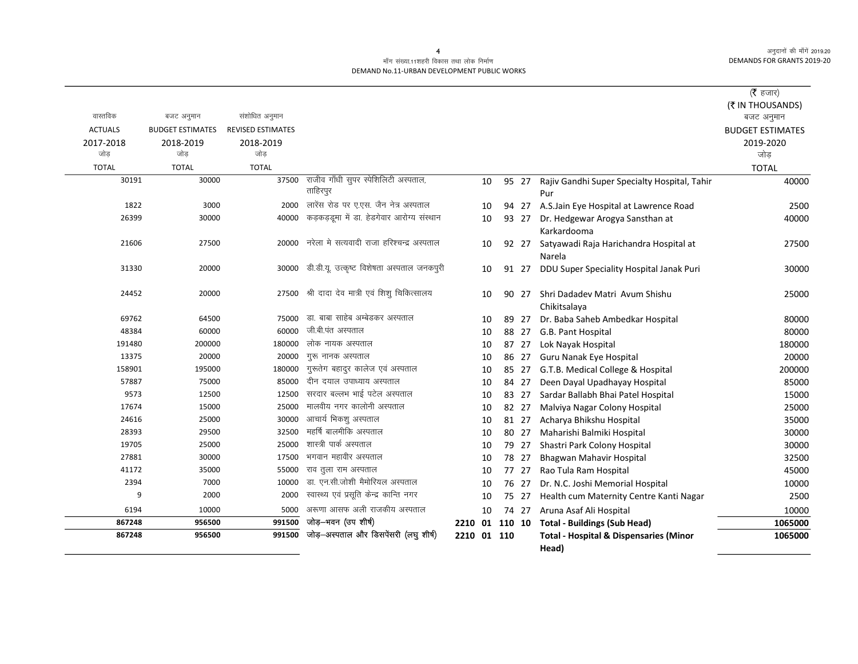#### माँग संख्या.11शहरी विकास तथा लोक निर्माण DEMAND No.11-URBAN DEVELOPMENT PUBLIC WORKS

|                |                         |                          |                                                |                |    |       |                                                   | (रै हजार)               |
|----------------|-------------------------|--------------------------|------------------------------------------------|----------------|----|-------|---------------------------------------------------|-------------------------|
|                |                         |                          |                                                |                |    |       |                                                   | (₹ IN THOUSANDS)        |
| वास्तविक       | बजट अनुमान              | संशोधित अनुमान           |                                                |                |    |       |                                                   | बजट अनुमान              |
| <b>ACTUALS</b> | <b>BUDGET ESTIMATES</b> | <b>REVISED ESTIMATES</b> |                                                |                |    |       |                                                   | <b>BUDGET ESTIMATES</b> |
| 2017-2018      | 2018-2019               | 2018-2019                |                                                |                |    |       |                                                   | 2019-2020               |
| जोड            | जोड                     | जोड़                     |                                                |                |    |       |                                                   | जोड़                    |
| <b>TOTAL</b>   | <b>TOTAL</b>            | <b>TOTAL</b>             |                                                |                |    |       |                                                   | <b>TOTAL</b>            |
| 30191          | 30000                   | 37500                    | राजीव गाँधी सुपर स्पेशिलिटी अस्पताल,           |                | 10 | 95 27 | Rajiv Gandhi Super Specialty Hospital, Tahir      | 40000                   |
|                |                         |                          | ताहिरपुर                                       |                |    |       | Pur                                               |                         |
| 1822           | 3000                    | 2000                     | लारेंस रोड पर ए.एस. जैन नेत्र अस्पताल          |                | 10 | 94 27 | A.S.Jain Eye Hospital at Lawrence Road            | 2500                    |
| 26399          | 30000                   | 40000                    | कड़कड़डूमा में डा. हेडगेवार आरोग्य संस्थान     |                | 10 | 93 27 | Dr. Hedgewar Arogya Sansthan at                   | 40000                   |
|                |                         |                          |                                                |                |    |       | Karkardooma                                       |                         |
| 21606          | 27500                   | 20000                    | नरेला मे सत्यवादी राजा हरिश्चन्द्र अस्पताल     |                | 10 | 92 27 | Satyawadi Raja Harichandra Hospital at            | 27500                   |
|                |                         |                          |                                                |                |    |       | Narela                                            |                         |
| 31330          | 20000                   | 30000                    | डी.डी.यू. उत्कृष्ट विशेषता अस्पताल जनकपुरी     |                | 10 | 91 27 | DDU Super Speciality Hospital Janak Puri          | 30000                   |
| 24452          | 20000                   |                          | 27500 श्री दादा देव मात्री एवं शिशु चिकित्सालय |                |    |       | Shri Dadadev Matri Avum Shishu                    |                         |
|                |                         |                          |                                                |                | 10 | 90 27 | Chikitsalaya                                      | 25000                   |
| 69762          | 64500                   |                          | 75000 डा. बाबा साहेब अम्बेडकर अस्पताल          |                | 10 | 89 27 | Dr. Baba Saheb Ambedkar Hospital                  | 80000                   |
| 48384          | 60000                   | 60000                    | जी.बी.पंत अस्पताल                              |                | 10 | 88 27 | G.B. Pant Hospital                                | 80000                   |
| 191480         | 200000                  | 180000                   | लोक नायक अस्पताल                               |                | 10 | 87 27 | Lok Nayak Hospital                                | 180000                  |
| 13375          | 20000                   | 20000                    | गुरू नानक अस्पताल                              |                | 10 | 86 27 | Guru Nanak Eye Hospital                           | 20000                   |
| 158901         | 195000                  | 180000                   | गुरूतेग बहादुर कालेज एवं अस्पताल               |                | 10 | 85 27 | G.T.B. Medical College & Hospital                 | 200000                  |
| 57887          | 75000                   | 85000                    | दीन दयाल उपाध्याय अस्पताल                      |                | 10 | 84 27 | Deen Dayal Upadhayay Hospital                     | 85000                   |
| 9573           | 12500                   | 12500                    | सरदार बल्लभ भाई पटेल अस्पताल                   |                | 10 | 83 27 | Sardar Ballabh Bhai Patel Hospital                | 15000                   |
| 17674          | 15000                   | 25000                    | मालवीय नगर कालोनी अस्पताल                      |                | 10 | 82 27 | Malviya Nagar Colony Hospital                     | 25000                   |
| 24616          | 25000                   | 30000                    | आचार्य भिकश् अस्पताल                           |                | 10 | 81 27 | Acharya Bhikshu Hospital                          | 35000                   |
| 28393          | 29500                   | 32500                    | महर्षि बालमीकि अस्पताल                         |                | 10 | 80 27 | Maharishi Balmiki Hospital                        | 30000                   |
| 19705          | 25000                   | 25000                    | शास्त्री पार्क अस्पताल                         |                | 10 | 79 27 | Shastri Park Colony Hospital                      | 30000                   |
| 27881          | 30000                   | 17500                    | भगवान महावीर अस्पताल                           |                | 10 | 78 27 | Bhagwan Mahavir Hospital                          | 32500                   |
| 41172          | 35000                   | 55000                    | राव तूला राम अस्पताल                           |                | 10 | 77 27 | Rao Tula Ram Hospital                             | 45000                   |
| 2394           | 7000                    | 10000                    | डा. एन.सी.जोशी मैमोरियल अस्पताल                |                | 10 | 76 27 | Dr. N.C. Joshi Memorial Hospital                  | 10000                   |
| 9              | 2000                    | 2000                     | स्वास्थ्य एवं प्रसूति केन्द्र कान्ति नगर       |                | 10 | 75 27 | Health cum Maternity Centre Kanti Nagar           | 2500                    |
| 6194           | 10000                   | 5000                     | अरूणा आसफ अली राजकीय अस्पताल                   |                | 10 | 74 27 | Aruna Asaf Ali Hospital                           | 10000                   |
| 867248         | 956500                  | 991500                   | जोड़-भवन (उप शीर्ष)                            | 2210 01 110 10 |    |       | <b>Total - Buildings (Sub Head)</b>               | 1065000                 |
| 867248         | 956500                  | 991500                   | जोड़-अस्पताल और डिसपेंसरी (लघु शीर्ष)          | 2210 01 110    |    |       | <b>Total - Hospital &amp; Dispensaries (Minor</b> | 1065000                 |
|                |                         |                          |                                                |                |    |       | Head)                                             |                         |

 $\overline{4}$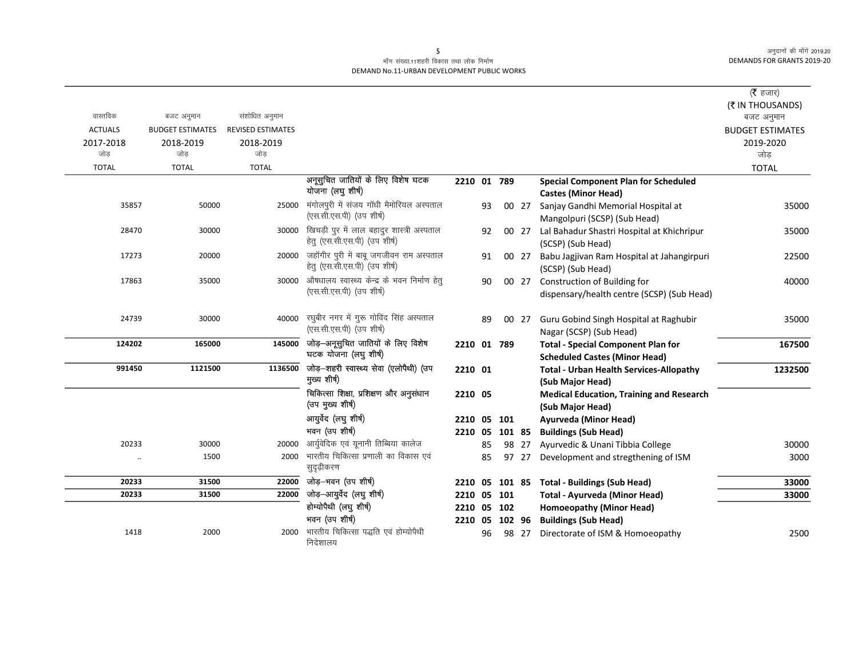### माँग संख्या.11शहरी विकास तथा लोक निर्माण DEMAND No.11-URBAN DEVELOPMENT PUBLIC WORKS

|                |                         |                          |                                                                             |                |    |       |                                                                                   | ( $\bar{\tau}$ हजार)    |
|----------------|-------------------------|--------------------------|-----------------------------------------------------------------------------|----------------|----|-------|-----------------------------------------------------------------------------------|-------------------------|
|                |                         |                          |                                                                             |                |    |       |                                                                                   | (₹ IN THOUSANDS)        |
| वास्तविक       | बजट अनुमान              | संशोधित अनुमान           |                                                                             |                |    |       |                                                                                   | बजट अनुमान              |
| <b>ACTUALS</b> | <b>BUDGET ESTIMATES</b> | <b>REVISED ESTIMATES</b> |                                                                             |                |    |       |                                                                                   | <b>BUDGET ESTIMATES</b> |
| 2017-2018      | 2018-2019               | 2018-2019                |                                                                             |                |    |       |                                                                                   | 2019-2020               |
| जोड            | जोड                     | जोड                      |                                                                             |                |    |       |                                                                                   | जोड                     |
| <b>TOTAL</b>   | <b>TOTAL</b>            | <b>TOTAL</b>             |                                                                             |                |    |       |                                                                                   | <b>TOTAL</b>            |
|                |                         |                          | अनूसुचित जातियों के लिए विशेष घटक<br>योजना (लघु शीर्ष)                      | 2210 01 789    |    |       | <b>Special Component Plan for Scheduled</b><br><b>Castes (Minor Head)</b>         |                         |
| 35857          | 50000                   | 25000                    | मंगोलपुरी में संजय गाँधी मैमोरियल अस्पताल<br>(एस.सी.एस.पी) (उप शीर्ष)       |                | 93 | 00 27 | Sanjay Gandhi Memorial Hospital at<br>Mangolpuri (SCSP) (Sub Head)                | 35000                   |
| 28470          | 30000                   | 30000                    | खिचड़ी पुर में लाल बहादुर शास्त्री अस्पताल<br>हेतु (एस.सी.एस.पी) (उप शीर्ष) |                | 92 | 00 27 | Lal Bahadur Shastri Hospital at Khichripur<br>(SCSP) (Sub Head)                   | 35000                   |
| 17273          | 20000                   | 20000                    | जहॉगीर पुरी में बाबू जगजीवन राम अस्पताल<br>हेतु (एस.सी.एस.पी) (उप शीर्ष)    |                | 91 | 00 27 | Babu Jagjivan Ram Hospital at Jahangirpuri<br>(SCSP) (Sub Head)                   | 22500                   |
| 17863          | 35000                   | 30000                    | औषधालय स्वास्थ्य केन्द्र के भवन निर्माण हेतु<br>(एस.सी.एस.पी) (उप शीर्ष)    |                | 90 | 00 27 | Construction of Building for<br>dispensary/health centre (SCSP) (Sub Head)        | 40000                   |
| 24739          | 30000                   | 40000                    | रघुबीर नगर में गुरू गोविंद सिंह अस्पताल<br>(एस.सी.एस.पी) (उप शीर्ष)         |                | 89 | 00 27 | Guru Gobind Singh Hospital at Raghubir<br>Nagar (SCSP) (Sub Head)                 | 35000                   |
| 124202         | 165000                  | 145000                   | जोड़-अनूसुचित जातियों के लिए विशेष<br>घटक योजना (लघु शीर्ष)                 | 2210 01 789    |    |       | <b>Total - Special Component Plan for</b><br><b>Scheduled Castes (Minor Head)</b> | 167500                  |
| 991450         | 1121500                 | 1136500                  | जोड़-शहरी स्वास्थ्य सेवा (एलोपैथी) (उप<br>मुख्य शीर्ष)                      | 2210 01        |    |       | <b>Total - Urban Health Services-Allopathy</b><br>(Sub Major Head)                | 1232500                 |
|                |                         |                          | चिकित्सा शिक्षा, प्रशिक्षण और अनुसंधान<br>(उप मुख्य शीर्ष)                  | 2210 05        |    |       | <b>Medical Education, Training and Research</b><br>(Sub Major Head)               |                         |
|                |                         |                          | आयुर्वेद (लघु शीर्ष)                                                        | 2210 05 101    |    |       | Ayurveda (Minor Head)                                                             |                         |
|                |                         |                          | भवन (उप शीर्ष)                                                              | 2210 05 101 85 |    |       | <b>Buildings (Sub Head)</b>                                                       |                         |
| 20233          | 30000                   | 20000                    | आर्युवेदिक एवं यूनानी तिब्बिया कालेज                                        |                | 85 | 98 27 | Ayurvedic & Unani Tibbia College                                                  | 30000                   |
| $\ddotsc$      | 1500                    | 2000                     | भारतीय चिकित्सा प्रणाली का विकास एवं<br>सुदृढ़ीकरण                          |                | 85 | 97 27 | Development and stregthening of ISM                                               | 3000                    |
| 20233          | 31500                   | 22000                    | जोड़-भवन (उप शीर्ष)                                                         |                |    |       | 2210 05 101 85 Total - Buildings (Sub Head)                                       | 33000                   |
| 20233          | 31500                   | 22000                    | जोड़-आयुर्वेद (लघु शीर्ष)                                                   | 2210 05 101    |    |       | Total - Ayurveda (Minor Head)                                                     | 33000                   |
|                |                         |                          | होम्योपैथी (लघु शीर्ष)                                                      | 2210 05 102    |    |       | Homoeopathy (Minor Head)                                                          |                         |
|                |                         |                          | भवन (उप शीर्ष)                                                              | 2210 05 102 96 |    |       | <b>Buildings (Sub Head)</b>                                                       |                         |
| 1418           | 2000                    | 2000                     | भारतीय चिकित्सा पद्धति एवं होम्योपैथी<br>निदेशालय                           |                | 96 | 98 27 | Directorate of ISM & Homoeopathy                                                  | 2500                    |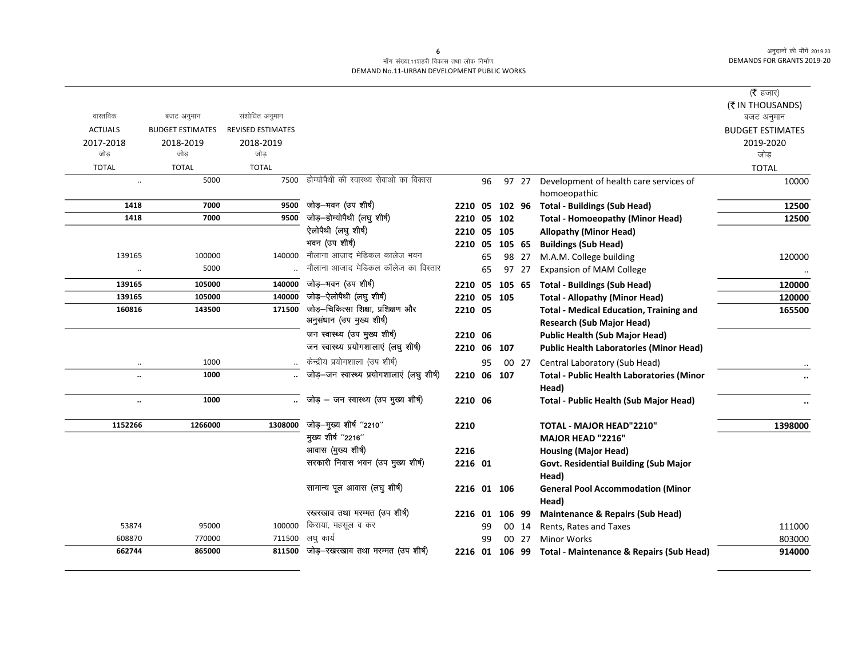#### माँग संख्या.11शहरी विकास तथा लोक निर्माण DEMAND No.11-URBAN DEVELOPMENT PUBLIC WORKS

| वास्तविक             |                                       |                                            |                                                                 |             |    |        |       |                                                                                    | ( $\bar{\tau}$ हजार)<br>(₹ IN THOUSANDS) |
|----------------------|---------------------------------------|--------------------------------------------|-----------------------------------------------------------------|-------------|----|--------|-------|------------------------------------------------------------------------------------|------------------------------------------|
| <b>ACTUALS</b>       | बजट अनुमान<br><b>BUDGET ESTIMATES</b> | संशोधित अनुमान<br><b>REVISED ESTIMATES</b> |                                                                 |             |    |        |       |                                                                                    | बजट अनुमान                               |
| 2017-2018            | 2018-2019                             | 2018-2019                                  |                                                                 |             |    |        |       |                                                                                    | <b>BUDGET ESTIMATES</b><br>2019-2020     |
| जोड                  | जोड                                   | जोड़                                       |                                                                 |             |    |        |       |                                                                                    | जोड़                                     |
| <b>TOTAL</b>         | <b>TOTAL</b>                          | <b>TOTAL</b>                               |                                                                 |             |    |        |       |                                                                                    | <b>TOTAL</b>                             |
| $\ddotsc$            | 5000                                  | 7500                                       | होम्योपैथी की स्वास्थ्य सेवाओं का विकास                         |             | 96 |        | 97 27 | Development of health care services of                                             | 10000                                    |
|                      |                                       |                                            |                                                                 |             |    |        |       | homoeopathic                                                                       |                                          |
| 1418                 | 7000                                  | 9500                                       | जोड़–भवन (उप शीर्ष)                                             | 2210 05     |    |        |       | 102 96 Total - Buildings (Sub Head)                                                | 12500                                    |
| 1418                 | 7000                                  | 9500                                       | जोड़—होम्योपैथी (लघु शीर्ष)                                     | 2210 05     |    | 102    |       | <b>Total - Homoeopathy (Minor Head)</b>                                            | 12500                                    |
|                      |                                       |                                            | ऐलोपैथी (लघु शीर्ष)                                             | 2210 05 105 |    |        |       | <b>Allopathy (Minor Head)</b>                                                      |                                          |
|                      |                                       |                                            | भवन (उप शीर्ष)                                                  | 2210 05     |    | 105 65 |       | <b>Buildings (Sub Head)</b>                                                        |                                          |
| 139165               | 100000                                | 140000                                     | मौलाना आजाद मेडिकल कालेज भवन                                    |             | 65 |        | 98 27 | M.A.M. College building                                                            | 120000                                   |
| $\ddot{\phantom{a}}$ | 5000                                  |                                            | मौलाना आजाद मेडिकल कॉलेज का विस्तार                             |             | 65 |        | 97 27 | <b>Expansion of MAM College</b>                                                    |                                          |
| 139165               | 105000                                | 140000                                     | जोड़–भवन (उप शीर्ष)                                             | 2210 05     |    | 105 65 |       | <b>Total - Buildings (Sub Head)</b>                                                | 120000                                   |
| 139165               | 105000                                | 140000                                     | जोड़-ऐलोपैथी (लघु शीर्ष)                                        | 2210 05 105 |    |        |       | <b>Total - Allopathy (Minor Head)</b>                                              | 120000                                   |
| 160816               | 143500                                | 171500                                     | जोड़—चिकित्सा शिक्षा, प्रशिक्षण और<br>अनुसंधान (उप मुख्य शीर्ष) | 2210 05     |    |        |       | <b>Total - Medical Education, Training and</b><br><b>Research (Sub Major Head)</b> | 165500                                   |
|                      |                                       |                                            | जन स्वास्थ्य (उप मुख्य शीर्ष)                                   | 2210 06     |    |        |       | <b>Public Health (Sub Major Head)</b>                                              |                                          |
|                      |                                       |                                            | जन स्वास्थ्य प्रयोगशालाएं (लघु शीर्ष)                           | 2210 06 107 |    |        |       | <b>Public Health Laboratories (Minor Head)</b>                                     |                                          |
| $\ddot{\phantom{a}}$ | 1000                                  |                                            | केन्द्रीय प्रयोगशाला (उप शीर्ष)                                 |             | 95 |        | 00 27 | Central Laboratory (Sub Head)                                                      |                                          |
| $\ddot{\phantom{a}}$ | 1000                                  |                                            | जोड़-जन स्वास्थ्य प्रयोगशालाएं (लघु शीर्ष)                      | 2210 06 107 |    |        |       | <b>Total - Public Health Laboratories (Minor</b>                                   |                                          |
|                      | 1000                                  |                                            | जोड़ – जन स्वास्थ्य (उप मुख्य शीर्ष)                            | 2210 06     |    |        |       | Head)                                                                              |                                          |
| $\ddotsc$            |                                       |                                            |                                                                 |             |    |        |       | Total - Public Health (Sub Major Head)                                             |                                          |
| 1152266              | 1266000                               | 1308000                                    | जोड़-मुख्य शीर्ष "2210"                                         | 2210        |    |        |       | <b>TOTAL - MAJOR HEAD"2210"</b>                                                    | 1398000                                  |
|                      |                                       |                                            | मुख्य शीर्ष "2216"                                              |             |    |        |       | MAJOR HEAD "2216"                                                                  |                                          |
|                      |                                       |                                            | आवास (मुख्य शीर्ष)                                              | 2216        |    |        |       | <b>Housing (Major Head)</b>                                                        |                                          |
|                      |                                       |                                            | सरकारी निवास भवन (उप मुख्य शीर्ष)                               | 2216 01     |    |        |       | Govt. Residential Building (Sub Major                                              |                                          |
|                      |                                       |                                            |                                                                 |             |    |        |       | Head)                                                                              |                                          |
|                      |                                       |                                            | सामान्य पूल आवास (लघु शीर्ष)                                    | 2216 01 106 |    |        |       | <b>General Pool Accommodation (Minor</b><br>Head)                                  |                                          |
|                      |                                       |                                            | रखरखाव तथा मरम्मत (उप शीर्ष)                                    | 2216 01     |    | 106 99 |       | <b>Maintenance &amp; Repairs (Sub Head)</b>                                        |                                          |
| 53874                | 95000                                 | 100000                                     | किराया, महसूल व कर                                              |             | 99 |        | 00 14 | Rents, Rates and Taxes                                                             | 111000                                   |
| 608870               | 770000                                | 711500                                     | लघु कार्य                                                       |             | 99 |        | 00 27 | <b>Minor Works</b>                                                                 | 803000                                   |
| 662744               | 865000                                |                                            | 811500 जोड़-रखरखाव तथा मरम्मत (उप शीर्ष)                        |             |    |        |       | 2216 01 106 99 Total - Maintenance & Repairs (Sub Head)                            | 914000                                   |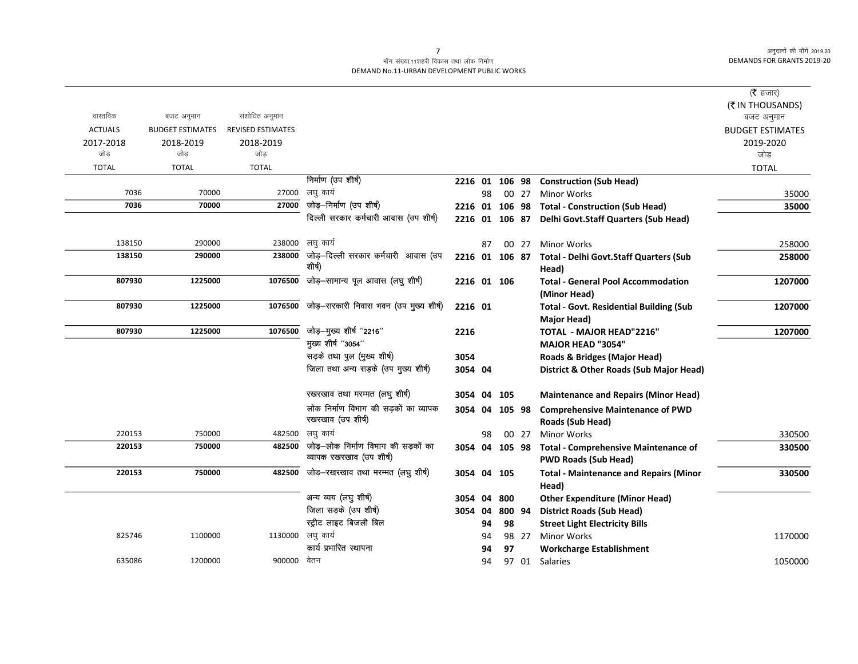#### माँग संख्या.11शहरी विकास तथा लोक निर्माण DEMAND No.11-URBAN DEVELOPMENT PUBLIC WORKS

|                |                         |                          |                                        |                |    |        |       |                                                | ( $\bar{\tau}$ हजार)    |
|----------------|-------------------------|--------------------------|----------------------------------------|----------------|----|--------|-------|------------------------------------------------|-------------------------|
|                |                         |                          |                                        |                |    |        |       |                                                | (₹ IN THOUSANDS)        |
| वास्तविक       | बजट अनुमान              | संशोधित अनुमान           |                                        |                |    |        |       |                                                | बजट अनुमान              |
| <b>ACTUALS</b> | <b>BUDGET ESTIMATES</b> | <b>REVISED ESTIMATES</b> |                                        |                |    |        |       |                                                | <b>BUDGET ESTIMATES</b> |
| 2017-2018      | 2018-2019               | 2018-2019                |                                        |                |    |        |       |                                                | 2019-2020               |
| जोड            | जोड                     | जोड                      |                                        |                |    |        |       |                                                | जोड                     |
| <b>TOTAL</b>   | <b>TOTAL</b>            | <b>TOTAL</b>             |                                        |                |    |        |       |                                                | <b>TOTAL</b>            |
|                |                         |                          | निर्माण (उप शीर्ष)                     | 2216 01        |    | 106 98 |       | <b>Construction (Sub Head)</b>                 |                         |
| 7036           | 70000                   | 27000                    | लघु कार्य                              |                | 98 |        | 00 27 | <b>Minor Works</b>                             | 35000                   |
| 7036           | 70000                   | 27000                    | जोड़–निर्माण (उप शीर्ष)                | 2216 01 106 98 |    |        |       | <b>Total - Construction (Sub Head)</b>         | 35000                   |
|                |                         |                          | दिल्ली सरकार कर्मचारी आवास (उप शीर्ष)  | 2216 01 106 87 |    |        |       | Delhi Govt.Staff Quarters (Sub Head)           |                         |
| 138150         | 290000                  |                          | 238000 लघु कार्य                       |                | 87 |        | 00 27 | <b>Minor Works</b>                             | 258000                  |
| 138150         | 290000                  | 238000                   | जोड़–दिल्ली सरकार कर्मचारी आवास (उप    | 2216 01 106 87 |    |        |       | <b>Total - Delhi Govt.Staff Quarters (Sub</b>  | 258000                  |
|                |                         |                          | शीर्ष)                                 |                |    |        |       | Head)                                          |                         |
| 807930         | 1225000                 | 1076500                  | जोड़-सामान्य पूल आवास (लघु शीर्ष)      | 2216 01 106    |    |        |       | <b>Total - General Pool Accommodation</b>      | 1207000                 |
|                |                         |                          |                                        |                |    |        |       | (Minor Head)                                   |                         |
| 807930         | 1225000                 | 1076500                  | जोड़—सरकारी निवास भवन (उप मुख्य शीर्ष) | 2216 01        |    |        |       | <b>Total - Govt. Residential Building (Sub</b> | 1207000                 |
|                |                         |                          |                                        |                |    |        |       | <b>Major Head)</b>                             |                         |
| 807930         | 1225000                 | 1076500                  | जोड़-मुख्य शीर्ष "2216"                | 2216           |    |        |       | <b>TOTAL - MAJOR HEAD"2216"</b>                | 1207000                 |
|                |                         |                          | मुख्य शीर्ष "3054"                     |                |    |        |       | <b>MAJOR HEAD "3054"</b>                       |                         |
|                |                         |                          | सड़के तथा पुल (मुख्य शीर्ष)            | 3054           |    |        |       | Roads & Bridges (Major Head)                   |                         |
|                |                         |                          | जिला तथा अन्य सड़के (उप मुख्य शीर्ष)   | 3054 04        |    |        |       | District & Other Roads (Sub Major Head)        |                         |
|                |                         |                          | रखरखाव तथा मरम्मत (लघु शीर्ष)          | 3054           | 04 | 105    |       | <b>Maintenance and Repairs (Minor Head)</b>    |                         |
|                |                         |                          | लोक निर्माण विभाग की सड़कों का व्यापक  | 3054           | 04 | 105 98 |       | <b>Comprehensive Maintenance of PWD</b>        |                         |
|                |                         |                          | रखरखाव (उप शीर्ष)                      |                |    |        |       | Roads (Sub Head)                               |                         |
| 220153         | 750000                  | 482500                   | लघु कार्य                              |                | 98 |        | 00 27 | <b>Minor Works</b>                             | 330500                  |
| 220153         | 750000                  | 482500                   | जोड़—लोक निर्माण विभाग की सड़कों का    | 3054 04        |    | 105 98 |       | <b>Total - Comprehensive Maintenance of</b>    | 330500                  |
|                |                         |                          | व्यापक रखरखाव (उप शीर्ष)               |                |    |        |       | <b>PWD Roads (Sub Head)</b>                    |                         |
| 220153         | 750000                  | 482500                   | जोड़–रखरखाव तथा मरम्मत (लघु शीर्ष)     | 3054           | 04 | 105    |       | <b>Total - Maintenance and Repairs (Minor</b>  | 330500                  |
|                |                         |                          |                                        |                |    |        |       | Head)                                          |                         |
|                |                         |                          | अन्य व्यय (लघु शीर्ष)                  | 3054           | 04 | 800    |       | <b>Other Expenditure (Minor Head)</b>          |                         |
|                |                         |                          | जिला सड़के (उप शीर्ष)                  | 3054           | 04 | 800 94 |       | <b>District Roads (Sub Head)</b>               |                         |
|                |                         |                          | स्ट्रीट लाइट बिजली बिल                 |                | 94 | 98     |       | <b>Street Light Electricity Bills</b>          |                         |
| 825746         | 1100000                 |                          | 1130000 लघु कार्य                      |                | 94 |        | 98 27 | <b>Minor Works</b>                             | 1170000                 |
|                |                         |                          | कार्य प्रभारित स्थापना                 |                | 94 | 97     |       | <b>Workcharge Establishment</b>                |                         |
| 635086         | 1200000                 | 900000 वेतन              |                                        |                | 94 |        |       | 97 01 Salaries                                 | 1050000                 |
|                |                         |                          |                                        |                |    |        |       |                                                |                         |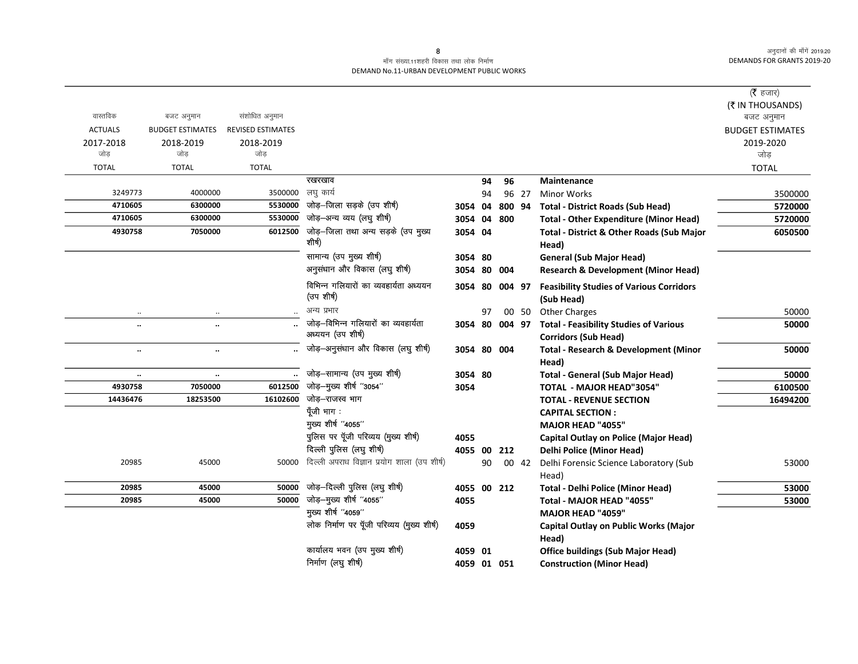#### माँग संख्या.11शहरी विकास तथा लोक निर्माण DEMAND No.11-URBAN DEVELOPMENT PUBLIC WORKS

|                  |                         |                          |                                                     |             |    |        |       |                                                               | (रै हजार)               |
|------------------|-------------------------|--------------------------|-----------------------------------------------------|-------------|----|--------|-------|---------------------------------------------------------------|-------------------------|
| वास्तविक         |                         | संशोधित अनुमान           |                                                     |             |    |        |       |                                                               | (₹ IN THOUSANDS)        |
|                  | बजट अनुमान              |                          |                                                     |             |    |        |       |                                                               | बजट अनुमान              |
| <b>ACTUALS</b>   | <b>BUDGET ESTIMATES</b> | <b>REVISED ESTIMATES</b> |                                                     |             |    |        |       |                                                               | <b>BUDGET ESTIMATES</b> |
| 2017-2018<br>जोड | 2018-2019<br>जोड        | 2018-2019<br>जोड         |                                                     |             |    |        |       |                                                               | 2019-2020<br>जोड़       |
| <b>TOTAL</b>     | <b>TOTAL</b>            | <b>TOTAL</b>             |                                                     |             |    |        |       |                                                               |                         |
|                  |                         |                          | रखरखाव                                              |             | 94 | 96     |       | <b>Maintenance</b>                                            | <b>TOTAL</b>            |
| 3249773          | 4000000                 | 3500000                  | लघु कार्य                                           |             | 94 |        | 96 27 | <b>Minor Works</b>                                            | 3500000                 |
| 4710605          | 6300000                 | 5530000                  | जोड़–जिला सड़के (उप शीर्ष)                          | 3054        | 04 | 800 94 |       | <b>Total - District Roads (Sub Head)</b>                      | 5720000                 |
| 4710605          | 6300000                 | 5530000                  | जोड़-अन्य व्यय (लघु शीर्ष)                          | 3054 04     |    | 800    |       | <b>Total - Other Expenditure (Minor Head)</b>                 | 5720000                 |
| 4930758          | 7050000                 | 6012500                  | जोड़–जिला तथा अन्य सड़के (उप मुख्य<br>शीर्ष)        | 3054 04     |    |        |       | Total - District & Other Roads (Sub Major<br>Head)            | 6050500                 |
|                  |                         |                          | सामान्य (उप मुख्य शीर्ष)                            | 3054 80     |    |        |       | <b>General (Sub Major Head)</b>                               |                         |
|                  |                         |                          | अनुसंधान और विकास (लघु शीर्ष)                       | 3054 80     |    | 004    |       | <b>Research &amp; Development (Minor Head)</b>                |                         |
|                  |                         |                          | विभिन्न गलियारों का व्यवहार्यता अध्ययन<br>(उपशीर्ष) | 3054 80     |    | 004 97 |       | <b>Feasibility Studies of Various Corridors</b><br>(Sub Head) |                         |
|                  |                         |                          | अन्य प्रभार                                         |             | 97 |        | 00 50 | <b>Other Charges</b>                                          | 50000                   |
|                  | $\ddot{\phantom{a}}$    |                          | जोड़–विभिन्न गलियारों का व्यवहार्यता                | 3054 80     |    | 004 97 |       | <b>Total - Feasibility Studies of Various</b>                 | 50000                   |
|                  |                         |                          | अध्ययन (उप शीर्ष)                                   |             |    |        |       | <b>Corridors (Sub Head)</b>                                   |                         |
|                  |                         |                          | जोड़-अनुसंधान और विकास (लघु शीर्ष)                  | 3054 80 004 |    |        |       | <b>Total - Research &amp; Development (Minor</b><br>Head)     | 50000                   |
|                  | $\ddotsc$               |                          | जोड़-सामान्य (उप मुख्य शीर्ष)                       | 3054 80     |    |        |       | <b>Total - General (Sub Major Head)</b>                       | 50000                   |
| 4930758          | 7050000                 | 6012500                  | जोड़–मुख्य शीर्ष "3054"                             | 3054        |    |        |       | <b>TOTAL - MAJOR HEAD"3054"</b>                               | 6100500                 |
| 14436476         | 18253500                | 16102600                 | जोड़-राजस्व भाग                                     |             |    |        |       | <b>TOTAL - REVENUE SECTION</b>                                | 16494200                |
|                  |                         |                          | पूँजी भाग:                                          |             |    |        |       | <b>CAPITAL SECTION:</b>                                       |                         |
|                  |                         |                          | मुख्य शीर्ष "4055"                                  |             |    |        |       | MAJOR HEAD "4055"                                             |                         |
|                  |                         |                          | पुलिस पर पूँजी परिव्यय (मुख्य शीर्ष)                | 4055        |    |        |       | <b>Capital Outlay on Police (Major Head)</b>                  |                         |
|                  |                         |                          | दिल्ली पुलिस (लघु शीर्ष)                            | 4055 00     |    | 212    |       | <b>Delhi Police (Minor Head)</b>                              |                         |
| 20985            | 45000                   | 50000                    | दिल्ली अपराध विज्ञान प्रयोग शाला (उप शीर्ष)         |             | 90 |        | 00 42 | Delhi Forensic Science Laboratory (Sub<br>Head)               | 53000                   |
| 20985            | 45000                   | 50000                    | जोड़-दिल्ली पुलिस (लघु शीर्ष)                       | 4055 00 212 |    |        |       | <b>Total - Delhi Police (Minor Head)</b>                      | 53000                   |
| 20985            | 45000                   | 50000                    | जोड़-मुख्य शीर्ष "4055"                             | 4055        |    |        |       | Total - MAJOR HEAD "4055"                                     | 53000                   |
|                  |                         |                          | मुख्य शीर्ष "4059"                                  |             |    |        |       | MAJOR HEAD "4059"                                             |                         |
|                  |                         |                          | लोक निर्माण पर पूँजी परिव्यय (मुख्य शीर्ष)          | 4059        |    |        |       | Capital Outlay on Public Works (Major<br>Head)                |                         |
|                  |                         |                          | कार्यालय भवन (उप मुख्य शीर्ष)                       | 4059 01     |    |        |       | <b>Office buildings (Sub Major Head)</b>                      |                         |
|                  |                         |                          | निर्माण (लघु शीर्ष)                                 | 4059 01 051 |    |        |       | <b>Construction (Minor Head)</b>                              |                         |

 $\boldsymbol{8}$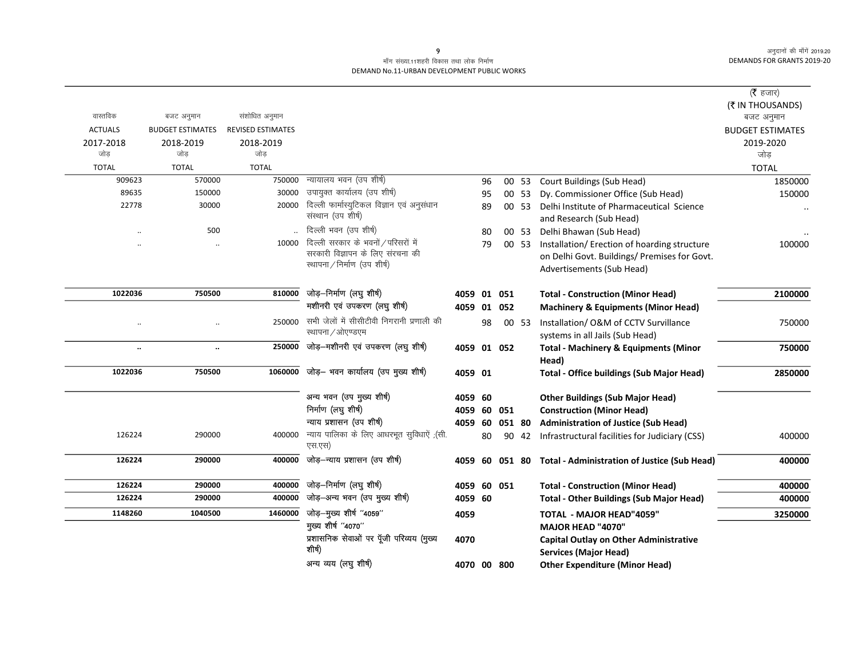#### माँग संख्या.11शहरी विकास तथा लोक निर्माण DEMAND No.11-URBAN DEVELOPMENT PUBLIC WORKS

|                      |                         |                          |                                                                  |             |    |        |       |                                                                               | ( $\bar{\tau}$ हजार)<br>(₹ IN THOUSANDS) |
|----------------------|-------------------------|--------------------------|------------------------------------------------------------------|-------------|----|--------|-------|-------------------------------------------------------------------------------|------------------------------------------|
| वास्तविक             | बजट अनुमान              | संशोधित अनुमान           |                                                                  |             |    |        |       |                                                                               | बजट अनुमान                               |
| <b>ACTUALS</b>       | <b>BUDGET ESTIMATES</b> | <b>REVISED ESTIMATES</b> |                                                                  |             |    |        |       |                                                                               | <b>BUDGET ESTIMATES</b>                  |
| 2017-2018            | 2018-2019               | 2018-2019                |                                                                  |             |    |        |       |                                                                               | 2019-2020                                |
| जोड                  | जोड                     | जोड़                     |                                                                  |             |    |        |       |                                                                               | जोड                                      |
| <b>TOTAL</b>         | <b>TOTAL</b>            | <b>TOTAL</b>             |                                                                  |             |    |        |       |                                                                               | <b>TOTAL</b>                             |
| 909623               | 570000                  | 750000                   | न्यायालय भवन (उप शीर्ष)                                          |             | 96 |        | 00 53 | <b>Court Buildings (Sub Head)</b>                                             | 1850000                                  |
| 89635                | 150000                  | 30000                    | उपायुक्त कार्यालय (उप शीर्ष)                                     |             | 95 |        | 00 53 | Dy. Commissioner Office (Sub Head)                                            | 150000                                   |
| 22778                | 30000                   | 20000                    | दिल्ली फार्मास्युटिकल विज्ञान एवं अनुसंधान<br>संस्थान (उप शीर्ष) |             | 89 |        | 00 53 | Delhi Institute of Pharmaceutical Science<br>and Research (Sub Head)          | $\ddotsc$                                |
|                      | 500                     |                          | दिल्ली भवन (उप शीर्ष)                                            |             | 80 |        | 00 53 | Delhi Bhawan (Sub Head)                                                       |                                          |
|                      |                         | 10000                    | दिल्ली सरकार के भवनों / परिसरों में                              |             | 79 |        | 00 53 | Installation/Erection of hoarding structure                                   | 100000                                   |
|                      |                         |                          | सरकारी विज्ञापन के लिए संरचना की                                 |             |    |        |       | on Delhi Govt. Buildings/ Premises for Govt.                                  |                                          |
|                      |                         |                          | स्थापना / निर्माण (उप शीर्ष)                                     |             |    |        |       | Advertisements (Sub Head)                                                     |                                          |
| 1022036              | 750500                  | 810000                   | जोड़–निर्माण (लघु शीर्ष)                                         | 4059 01 051 |    |        |       | <b>Total - Construction (Minor Head)</b>                                      | 2100000                                  |
|                      |                         |                          | मशीनरी एवं उपकरण (लघु शीर्ष)                                     | 4059 01 052 |    |        |       | <b>Machinery &amp; Equipments (Minor Head)</b>                                |                                          |
| $\ddot{\phantom{0}}$ | $\cdot\cdot$            | 250000                   | सभी जेलों में सीसीटीवी निगरानी प्रणाली की<br>स्थापना / ओएण्डएम   |             | 98 |        | 00 53 | Installation/ O&M of CCTV Survillance<br>systems in all Jails (Sub Head)      | 750000                                   |
| $\ddot{\phantom{a}}$ | $\ddotsc$               | 250000                   | जोड़—मशीनरी एवं उपकरण (लघु शीर्ष)                                | 4059 01 052 |    |        |       | <b>Total - Machinery &amp; Equipments (Minor</b>                              | 750000                                   |
|                      |                         |                          |                                                                  |             |    |        |       | Head)                                                                         |                                          |
| 1022036              | 750500                  |                          | 1060000 जोड़- भवन कार्यालय (उप मुख्य शीर्ष)                      | 4059 01     |    |        |       | <b>Total - Office buildings (Sub Major Head)</b>                              | 2850000                                  |
|                      |                         |                          | अन्य भवन (उप मुख्य शीर्ष)                                        | 4059 60     |    |        |       | <b>Other Buildings (Sub Major Head)</b>                                       |                                          |
|                      |                         |                          | निर्माण (लघु शीर्ष)                                              | 4059 60 051 |    |        |       | <b>Construction (Minor Head)</b>                                              |                                          |
|                      |                         |                          | न्याय प्रशासन (उप शीर्ष)                                         | 4059        | 60 | 051 80 |       | <b>Administration of Justice (Sub Head)</b>                                   |                                          |
| 126224               | 290000                  | 400000                   | न्याय पालिका के लिए आधरभूत सुविधाऐं ;(सी.<br>एस.एस)              |             | 80 |        | 90 42 | Infrastructural facilities for Judiciary (CSS)                                | 400000                                   |
| 126224               | 290000                  | 400000                   | जोड़—न्याय प्रशासन (उप शीर्ष)                                    | 4059 60     |    | 051 80 |       | <b>Total - Administration of Justice (Sub Head)</b>                           | 400000                                   |
| 126224               | 290000                  | 400000                   | जोड़-निर्माण (लघु शीर्ष)                                         | 4059 60 051 |    |        |       | <b>Total - Construction (Minor Head)</b>                                      | 400000                                   |
| 126224               | 290000                  | 400000                   | जोड़-अन्य भवन (उप मुख्य शीर्ष)                                   | 4059 60     |    |        |       | <b>Total - Other Buildings (Sub Major Head)</b>                               | 400000                                   |
| 1148260              | 1040500                 | 1460000                  | जोड़-मुख्य शीर्ष "4059"                                          | 4059        |    |        |       | <b>TOTAL - MAJOR HEAD"4059"</b>                                               | 3250000                                  |
|                      |                         |                          | मुख्य शीर्ष "4070"                                               |             |    |        |       | <b>MAJOR HEAD "4070"</b>                                                      |                                          |
|                      |                         |                          | प्रशासनिक सेवाओं पर पूँजी परिव्यय (मुख्य<br>शीर्ष)               | 4070        |    |        |       | <b>Capital Outlay on Other Administrative</b><br><b>Services (Major Head)</b> |                                          |
|                      |                         |                          | अन्य व्यय (लघु शीर्ष)                                            | 4070 00 800 |    |        |       | <b>Other Expenditure (Minor Head)</b>                                         |                                          |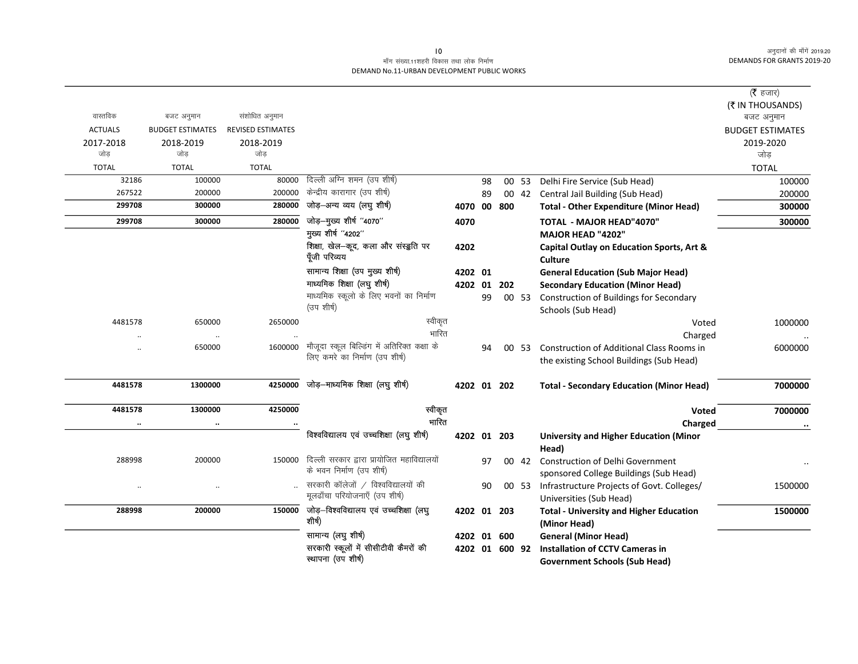## माँग संख्या.11शहरी विकास तथा लोक निर्माण DEMAND No.11-URBAN DEVELOPMENT PUBLIC WORKS

|                |                         |                          |                                                  |             |    |                |       |                                                                | ( $\bar{\tau}$ हजार)<br>(₹ IN THOUSANDS) |
|----------------|-------------------------|--------------------------|--------------------------------------------------|-------------|----|----------------|-------|----------------------------------------------------------------|------------------------------------------|
| वास्तविक       | बजट अनुमान              | संशोधित अनुमान           |                                                  |             |    |                |       |                                                                | बजट अनुमान                               |
| <b>ACTUALS</b> | <b>BUDGET ESTIMATES</b> | <b>REVISED ESTIMATES</b> |                                                  |             |    |                |       |                                                                | <b>BUDGET ESTIMATES</b>                  |
| 2017-2018      | 2018-2019               | 2018-2019                |                                                  |             |    |                |       |                                                                | 2019-2020                                |
| जोड़           | जोड                     | जोड                      |                                                  |             |    |                |       |                                                                | जोड़                                     |
| <b>TOTAL</b>   | <b>TOTAL</b>            | <b>TOTAL</b>             |                                                  |             |    |                |       |                                                                | <b>TOTAL</b>                             |
| 32186          | 100000                  | 80000                    | दिल्ली अग्नि शमन (उप शीर्ष)                      |             | 98 |                | 00 53 | Delhi Fire Service (Sub Head)                                  | 100000                                   |
| 267522         | 200000                  | 200000                   | केन्द्रीय कारागार (उप शीर्ष)                     |             | 89 |                |       | 00 42 Central Jail Building (Sub Head)                         | 200000                                   |
| 299708         | 300000                  | 280000                   | जोड़-अन्य व्यय (लघु शीर्ष)                       | 4070 00 800 |    |                |       | <b>Total - Other Expenditure (Minor Head)</b>                  | 300000                                   |
| 299708         | 300000                  | 280000                   | जोड़-मुख्य शीर्ष "4070"                          | 4070        |    |                |       | <b>TOTAL - MAJOR HEAD"4070"</b>                                | 300000                                   |
|                |                         |                          | मुख्य शीर्ष "4202"                               |             |    |                |       | <b>MAJOR HEAD "4202"</b>                                       |                                          |
|                |                         |                          | शिक्षा, खेल-कूद, कला और संस्डुति पर              | 4202        |    |                |       | Capital Outlay on Education Sports, Art &                      |                                          |
|                |                         |                          | पूँजी परिव्यय                                    |             |    |                |       | <b>Culture</b>                                                 |                                          |
|                |                         |                          | सामान्य शिक्षा (उप मुख्य शीर्ष)                  | 4202 01     |    |                |       | <b>General Education (Sub Major Head)</b>                      |                                          |
|                |                         |                          | माध्यमिक शिक्षा (लघु शीर्ष)                      | 4202 01     |    | 202            |       | <b>Secondary Education (Minor Head)</b>                        |                                          |
|                |                         |                          | माध्यमिक स्कूलो के लिए भवनों का निर्माण          |             | 99 |                | 00 53 | <b>Construction of Buildings for Secondary</b>                 |                                          |
|                |                         |                          | (उप शीर्ष)                                       |             |    |                |       | Schools (Sub Head)                                             |                                          |
| 4481578        | 650000                  | 2650000                  | स्वीकृत                                          |             |    |                |       | Voted                                                          | 1000000                                  |
| $\ddotsc$      | $\ddotsc$               |                          | भारित                                            |             |    |                |       | Charged                                                        |                                          |
| $\cdot$        | 650000                  | 1600000                  | मौजूदा स्कूल बिल्डिंग में अतिरिक्त कक्षा के      |             | 94 |                | 00 53 | <b>Construction of Additional Class Rooms in</b>               | 6000000                                  |
|                |                         |                          | लिए कमरे का निर्माण (उप शीर्ष)                   |             |    |                |       | the existing School Buildings (Sub Head)                       |                                          |
| 4481578        | 1300000                 | 4250000                  | जोड़—माध्यमिक शिक्षा (लघु शीर्ष)                 | 4202 01 202 |    |                |       | <b>Total - Secondary Education (Minor Head)</b>                | 7000000                                  |
| 4481578        | 1300000                 | 4250000                  | स्वीकृत                                          |             |    |                |       | Voted                                                          | 7000000                                  |
| $\cdot$        | $\ddotsc$               |                          | भारित                                            |             |    |                |       | Charged                                                        |                                          |
|                |                         |                          | विश्वविद्यालय एवं उच्चशिक्षा (लघु शीर्ष)         | 4202 01 203 |    |                |       | <b>University and Higher Education (Minor</b><br>Head)         |                                          |
| 288998         | 200000                  | 150000                   | दिल्ली सरकार द्वारा प्रायोजित महाविद्यालयों      |             | 97 |                | 00 42 | <b>Construction of Delhi Government</b>                        |                                          |
|                |                         |                          | के भवन निर्माण (उप शीर्ष)                        |             |    |                |       | sponsored College Buildings (Sub Head)                         |                                          |
| $\ddotsc$      | $\ddotsc$               |                          | सरकारी कॉलेजों / विश्वविद्यालयों की              |             | 90 |                | 00 53 | Infrastructure Projects of Govt. Colleges/                     | 1500000                                  |
|                |                         |                          | मूलढाँचा परियोजनाएँ (उप शीर्ष)                   |             |    |                |       | Universities (Sub Head)                                        |                                          |
| 288998         | 200000                  | 150000                   | जोड़-विश्वविद्यालय एवं उच्चशिक्षा (लघु<br>शीर्ष) | 4202 01 203 |    |                |       | <b>Total - University and Higher Education</b><br>(Minor Head) | 1500000                                  |
|                |                         |                          | सामान्य (लघु शीर्ष)                              | 4202 01 600 |    |                |       | <b>General (Minor Head)</b>                                    |                                          |
|                |                         |                          | सरकारी स्कूलों में सीसीटीवी कैमरों की            |             |    | 4202 01 600 92 |       | <b>Installation of CCTV Cameras in</b>                         |                                          |
|                |                         |                          | स्थापना (उप शीर्ष)                               |             |    |                |       | <b>Government Schools (Sub Head)</b>                           |                                          |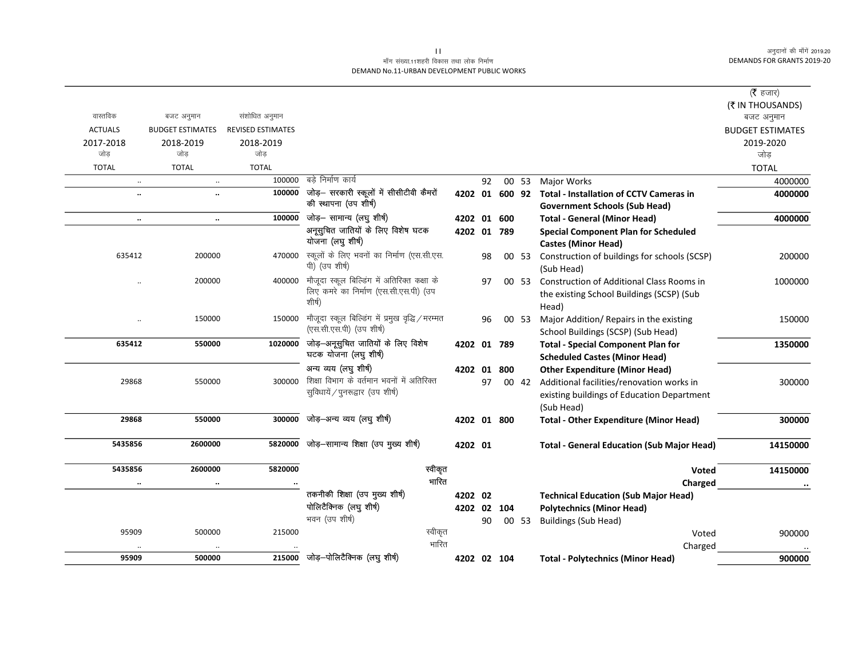## माँग संख्या.11शहरी विकास तथा लोक निर्माण DEMAND No.11-URBAN DEVELOPMENT PUBLIC WORKS

|                      |                         |                          |                                                  |             |    |             |       |                                                        | ( $\bar{\tau}$ हजार)    |
|----------------------|-------------------------|--------------------------|--------------------------------------------------|-------------|----|-------------|-------|--------------------------------------------------------|-------------------------|
|                      |                         |                          |                                                  |             |    |             |       |                                                        | (₹ IN THOUSANDS)        |
| वास्तविक             | बजट अनुमान              | संशोधित अनुमान           |                                                  |             |    |             |       |                                                        | बजट अनुमान              |
| <b>ACTUALS</b>       | <b>BUDGET ESTIMATES</b> | <b>REVISED ESTIMATES</b> |                                                  |             |    |             |       |                                                        | <b>BUDGET ESTIMATES</b> |
| 2017-2018            | 2018-2019               | 2018-2019                |                                                  |             |    |             |       |                                                        | 2019-2020               |
| जोड                  | जोड                     | जोड                      |                                                  |             |    |             |       |                                                        | जोड़                    |
| <b>TOTAL</b>         | <b>TOTAL</b>            | <b>TOTAL</b>             |                                                  |             |    |             |       |                                                        | <b>TOTAL</b>            |
| $\ddotsc$            | $\ddot{\phantom{a}}$    | 100000                   | बडे निर्माण कार्य                                |             | 92 |             | 00 53 | Major Works                                            | 4000000                 |
| $\ddot{\phantom{0}}$ | $\ddot{\phantom{a}}$    | 100000                   | जोड़– सरकारी स्कूलों में सीसीटीवी कैमरों         |             |    |             |       | 4202 01 600 92 Total - Installation of CCTV Cameras in | 4000000                 |
|                      |                         |                          | की स्थापना (उप शीर्ष)                            |             |    |             |       | <b>Government Schools (Sub Head)</b>                   |                         |
| $\ddotsc$            | $\ddotsc$               | 100000                   | जोड़- सामान्य (लघु शीर्ष)                        | 4202 01 600 |    |             |       | <b>Total - General (Minor Head)</b>                    | 4000000                 |
|                      |                         |                          | अनूसुचित जातियों के लिए विशेष घटक                | 4202 01 789 |    |             |       | <b>Special Component Plan for Scheduled</b>            |                         |
|                      |                         |                          | योजना (लघु शीर्ष)                                |             |    |             |       | <b>Castes (Minor Head)</b>                             |                         |
| 635412               | 200000                  | 470000                   | स्कूलों के लिए भवनों का निर्माण (एस.सी.एस.       |             | 98 |             | 00 53 | Construction of buildings for schools (SCSP)           | 200000                  |
|                      |                         |                          | पी) (उप शीर्ष)                                   |             |    |             |       | (Sub Head)                                             |                         |
| $\ddotsc$            | 200000                  | 400000                   | मौजूदा स्कूल बिल्डिंग में अतिरिक्त कक्षा के      |             | 97 |             | 00 53 | Construction of Additional Class Rooms in              | 1000000                 |
|                      |                         |                          | लिए कमरे का निर्माण (एस.सी.एस.पी) (उप            |             |    |             |       | the existing School Buildings (SCSP) (Sub              |                         |
|                      |                         |                          | शीर्ष)                                           |             |    |             |       | Head)                                                  |                         |
| $\ldots$             | 150000                  | 150000                   | मौजूदा स्कूल बिल्डिंग में प्रमुख वृद्धि / मरम्मत |             | 96 |             | 00 53 | Major Addition/ Repairs in the existing                | 150000                  |
|                      |                         |                          | (एस.सी.एस.पी) (उप शीर्ष)                         |             |    |             |       | School Buildings (SCSP) (Sub Head)                     |                         |
| 635412               | 550000                  | 1020000                  | जोड़-अनूसुचित जातियों के लिए विशेष               | 4202 01 789 |    |             |       | <b>Total - Special Component Plan for</b>              | 1350000                 |
|                      |                         |                          | घटक योजना (लघु शीर्ष)                            |             |    |             |       | <b>Scheduled Castes (Minor Head)</b>                   |                         |
|                      |                         |                          | अन्य व्यय (लघु शीर्ष)                            | 4202 01 800 |    |             |       | <b>Other Expenditure (Minor Head)</b>                  |                         |
| 29868                | 550000                  | 300000                   | शिक्षा विभाग के वर्तमान भवनों में अतिरिक्त       |             | 97 |             | 00 42 | Additional facilities/renovation works in              | 300000                  |
|                      |                         |                          | सुविधायें / पुनरूद्वार (उप शीर्ष)                |             |    |             |       | existing buildings of Education Department             |                         |
|                      |                         |                          |                                                  |             |    |             |       | (Sub Head)                                             |                         |
| 29868                | 550000                  | 300000                   | जोड़—अन्य व्यय (लघु शीर्ष)                       |             |    | 4202 01 800 |       | <b>Total - Other Expenditure (Minor Head)</b>          | 300000                  |
|                      |                         |                          |                                                  |             |    |             |       |                                                        |                         |
| 5435856              | 2600000                 | 5820000                  | जोड़-सामान्य शिक्षा (उप मुख्य शीर्ष)             | 4202 01     |    |             |       | <b>Total - General Education (Sub Major Head)</b>      | 14150000                |
|                      |                         |                          |                                                  |             |    |             |       |                                                        |                         |
| 5435856              | 2600000                 | 5820000                  | स्वीकृत                                          |             |    |             |       | Voted                                                  | 14150000                |
|                      | $\cdot \cdot$           |                          | भारित                                            |             |    |             |       | Charged                                                |                         |
|                      |                         |                          | तकनीकी शिक्षा (उप मुख्य शीर्ष)                   | 4202 02     |    |             |       | <b>Technical Education (Sub Major Head)</b>            |                         |
|                      |                         |                          | पोलिटैक्निक (लघु शीर्ष)                          | 4202 02 104 |    |             |       | <b>Polytechnics (Minor Head)</b>                       |                         |
|                      |                         |                          | भवन (उप शीर्ष)                                   |             | 90 |             | 00 53 | <b>Buildings (Sub Head)</b>                            |                         |
| 95909                | 500000                  | 215000                   | स्वीकृत                                          |             |    |             |       | Voted                                                  | 900000                  |
|                      |                         |                          | भारित                                            |             |    |             |       | Charged                                                |                         |
| 95909                | 500000                  |                          | $215000$ जोड़-पोलिटैक्निक (लघु शीर्ष)            | 4202 02 104 |    |             |       | <b>Total - Polytechnics (Minor Head)</b>               | 900000                  |

 $\overline{\mathbf{H}}$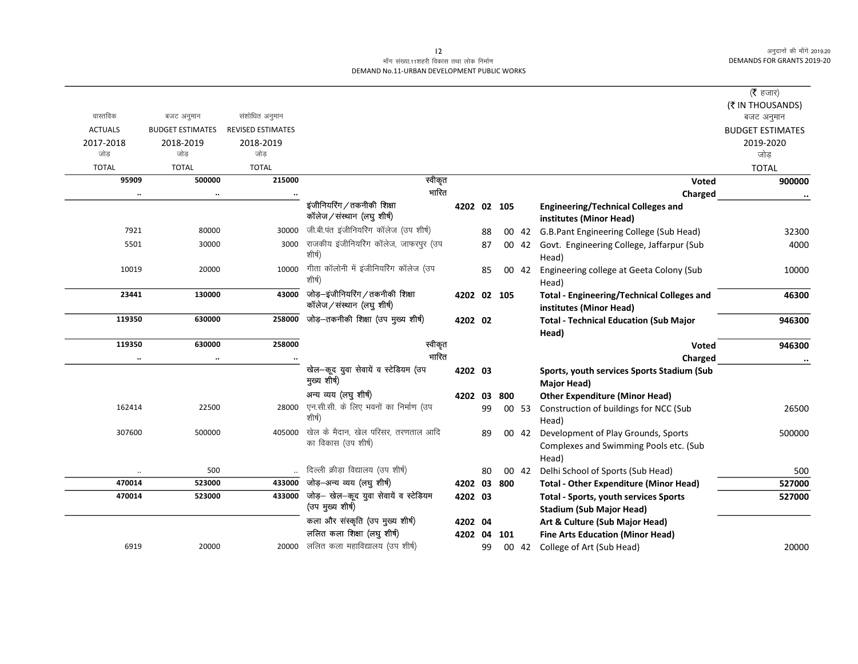## माँग संख्या.11शहरी विकास तथा लोक निर्माण DEMAND No.11-URBAN DEVELOPMENT PUBLIC WORKS

|                |                         |                          |                                                               |             |    |     |       |                                                                                 | (रै हजार)               |
|----------------|-------------------------|--------------------------|---------------------------------------------------------------|-------------|----|-----|-------|---------------------------------------------------------------------------------|-------------------------|
|                |                         |                          |                                                               |             |    |     |       |                                                                                 | (₹ IN THOUSANDS)        |
| वास्तविक       | बजट अनुमान              | संशोधित अनुमान           |                                                               |             |    |     |       |                                                                                 | बजट अनुमान              |
| <b>ACTUALS</b> | <b>BUDGET ESTIMATES</b> | <b>REVISED ESTIMATES</b> |                                                               |             |    |     |       |                                                                                 | <b>BUDGET ESTIMATES</b> |
| 2017-2018      | 2018-2019               | 2018-2019                |                                                               |             |    |     |       |                                                                                 | 2019-2020               |
| जोड            | जोड                     | जोड                      |                                                               |             |    |     |       |                                                                                 | जोड़                    |
| <b>TOTAL</b>   | <b>TOTAL</b>            | <b>TOTAL</b>             |                                                               |             |    |     |       |                                                                                 | <b>TOTAL</b>            |
| 95909          | 500000                  | 215000                   | स्वीकृत                                                       |             |    |     |       | Voted                                                                           | 900000                  |
|                | $\cdot\cdot$            |                          | भारित                                                         |             |    |     |       | Charged                                                                         |                         |
|                |                         |                          | इंजीनियरिंग / तकनीकी शिक्षा<br>कॉलेज/संस्थान (लघु शीर्ष)      | 4202 02 105 |    |     |       | <b>Engineering/Technical Colleges and</b><br>institutes (Minor Head)            |                         |
| 7921           | 80000                   | 30000                    | जी.बी.पंत इंजीनियरिंग कॉलेज (उप शीर्ष)                        |             | 88 |     | 00 42 | G.B.Pant Engineering College (Sub Head)                                         | 32300                   |
| 5501           | 30000                   | 3000                     | राजकीय इंजीनियरिंग कॉलेज, जाफरपुर (उप<br>शीर्ष)               |             | 87 |     | 00 42 | Govt. Engineering College, Jaffarpur (Sub<br>Head)                              | 4000                    |
| 10019          | 20000                   | 10000                    | गीता कॉलोनी में इंजीनियरिंग कॉलेज (उप<br>शीर्ष)               |             | 85 |     | 00 42 | Engineering college at Geeta Colony (Sub<br>Head)                               | 10000                   |
| 23441          | 130000                  | 43000                    | जोड़–इंजीनियरिंग / तकनीकी शिक्षा<br>कॉलेज/संस्थान (लघु शीर्ष) | 4202 02 105 |    |     |       | <b>Total - Engineering/Technical Colleges and</b><br>institutes (Minor Head)    | 46300                   |
| 119350         | 630000                  | 258000                   | जोड़-तकनीकी शिक्षा (उप मुख्य शीर्ष)                           | 4202 02     |    |     |       | <b>Total - Technical Education (Sub Major</b><br>Head)                          | 946300                  |
| 119350         | 630000                  | 258000                   | स्वीकृत                                                       |             |    |     |       | Voted                                                                           | 946300                  |
|                |                         |                          | भारित                                                         |             |    |     |       | Charged                                                                         | $\cdot\cdot$            |
|                |                         |                          | खेल-कूद युवा सेवायें व स्टेडियम (उप                           | 4202 03     |    |     |       | Sports, youth services Sports Stadium (Sub                                      |                         |
|                |                         |                          | मुख्य शीर्ष)                                                  |             |    |     |       | Major Head)                                                                     |                         |
|                |                         |                          | अन्य व्यय (लघु शीर्ष)                                         | 4202 03     |    | 800 |       | <b>Other Expenditure (Minor Head)</b>                                           |                         |
| 162414         | 22500                   | 28000                    | एन.सी.सी. के लिए भवनों का निर्माण (उप<br>शीर्ष)               |             | 99 |     | 00 53 | Construction of buildings for NCC (Sub<br>Head)                                 | 26500                   |
| 307600         | 500000                  | 405000                   | खेल के मैदान, खेल परिसर, तरणताल आदि                           |             | 89 |     | 00 42 | Development of Play Grounds, Sports                                             | 500000                  |
|                |                         |                          | का विकास (उप शीर्ष)                                           |             |    |     |       | Complexes and Swimming Pools etc. (Sub                                          |                         |
|                |                         |                          |                                                               |             |    |     |       | Head)                                                                           |                         |
|                | 500                     |                          | दिल्ली क्रीड़ा विद्यालय (उप शीर्ष)                            |             | 80 |     | 00 42 | Delhi School of Sports (Sub Head)                                               | 500                     |
| 470014         | 523000                  | 433000                   | जोड़-अन्य व्यय (लघु शीर्ष)                                    | 4202 03     |    | 800 |       | <b>Total - Other Expenditure (Minor Head)</b>                                   | 527000                  |
| 470014         | 523000                  | 433000                   | जोड़- खेल-कूद युवा सेवायें व स्टेडियम<br>(उप मुख्य शीर्ष)     | 4202 03     |    |     |       | <b>Total - Sports, youth services Sports</b><br><b>Stadium (Sub Major Head)</b> | 527000                  |
|                |                         |                          | कला और संस्कृति (उप मुख्य शीर्ष)                              | 4202 04     |    |     |       | Art & Culture (Sub Major Head)                                                  |                         |
|                |                         |                          | ललित कला शिक्षा (लघु शीर्ष)                                   | 4202 04     |    | 101 |       | <b>Fine Arts Education (Minor Head)</b>                                         |                         |
| 6919           | 20000                   | 20000                    | ललित कला महाविद्यालय (उप शीर्ष)                               |             | 99 |     | 00 42 | College of Art (Sub Head)                                                       | 20000                   |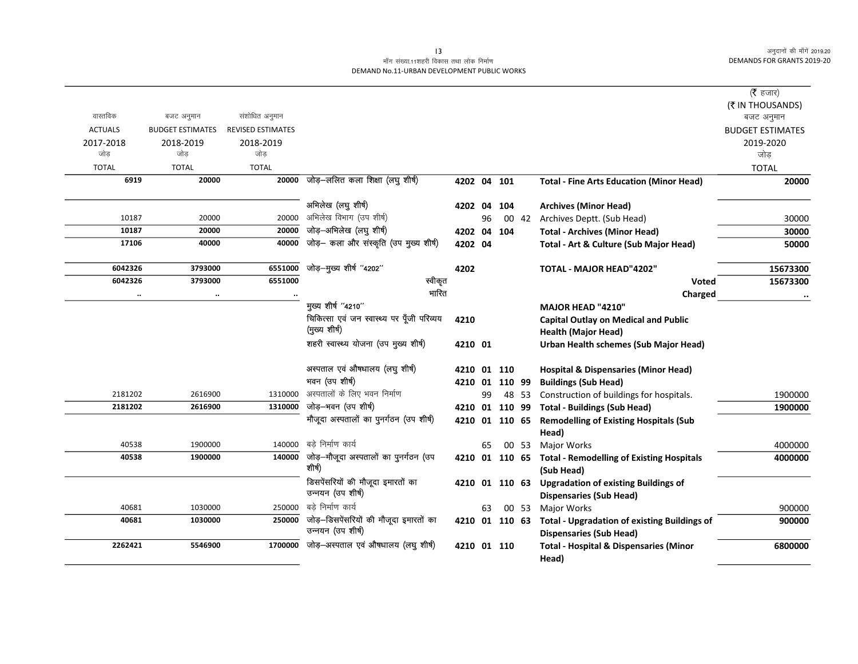## माँग संख्या.11शहरी विकास तथा लोक निर्माण DEMAND No.11-URBAN DEVELOPMENT PUBLIC WORKS

|                |                         |                          |                                                        |                |    |       |                                                             | ( $\bar{\tau}$ हजार)<br>(₹ IN THOUSANDS) |
|----------------|-------------------------|--------------------------|--------------------------------------------------------|----------------|----|-------|-------------------------------------------------------------|------------------------------------------|
| वास्तविक       | बजट अनुमान              | संशोधित अनुमान           |                                                        |                |    |       |                                                             | बजट अनुमान                               |
| <b>ACTUALS</b> | <b>BUDGET ESTIMATES</b> | <b>REVISED ESTIMATES</b> |                                                        |                |    |       |                                                             | <b>BUDGET ESTIMATES</b>                  |
| 2017-2018      | 2018-2019               | 2018-2019                |                                                        |                |    |       |                                                             | 2019-2020                                |
| जोड            | जोड                     | जोड                      |                                                        |                |    |       |                                                             | जोड                                      |
| <b>TOTAL</b>   | <b>TOTAL</b>            | <b>TOTAL</b>             |                                                        |                |    |       |                                                             | <b>TOTAL</b>                             |
| 6919           | 20000                   | 20000                    | जोड़-ललित कला शिक्षा (लघु शीर्ष)                       | 4202 04 101    |    |       | <b>Total - Fine Arts Education (Minor Head)</b>             | 20000                                    |
|                |                         |                          | अभिलेख (लघु शीर्ष)                                     | 4202 04 104    |    |       | <b>Archives (Minor Head)</b>                                |                                          |
| 10187          | 20000                   | 20000                    | अभिलेख विभाग (उप शीर्ष)                                |                | 96 |       | 00 42 Archives Deptt. (Sub Head)                            | 30000                                    |
| 10187          | 20000                   | 20000                    | जोड़-अभिलेख (लघु शीर्ष)                                | 4202 04 104    |    |       | <b>Total - Archives (Minor Head)</b>                        | 30000                                    |
| 17106          | 40000                   | 40000                    | जोड़- कला और संस्कृति (उप मुख्य शीर्ष)                 | 4202 04        |    |       | Total - Art & Culture (Sub Major Head)                      | 50000                                    |
|                |                         |                          |                                                        |                |    |       |                                                             |                                          |
| 6042326        | 3793000                 | 6551000                  | जोड़-मुख्य शीर्ष "4202"                                | 4202           |    |       | <b>TOTAL - MAJOR HEAD"4202"</b>                             | 15673300                                 |
| 6042326        | 3793000                 | 6551000                  | स्वीकृत                                                |                |    |       | Voted                                                       | 15673300                                 |
| $\ddotsc$      | $\ddot{\phantom{a}}$    |                          | भारित                                                  |                |    |       | Charged                                                     |                                          |
|                |                         |                          | मुख्य शीर्ष "4210"                                     |                |    |       | MAJOR HEAD "4210"                                           |                                          |
|                |                         |                          | चिकित्सा एवं जन स्वास्थ्य पर पूँजी परिव्यय             | 4210           |    |       | <b>Capital Outlay on Medical and Public</b>                 |                                          |
|                |                         |                          | (मुख्य शीर्ष)                                          |                |    |       | <b>Health (Major Head)</b>                                  |                                          |
|                |                         |                          | शहरी स्वास्थ्य योजना (उप मुख्य शीर्ष)                  | 4210 01        |    |       | Urban Health schemes (Sub Major Head)                       |                                          |
|                |                         |                          | अस्पताल एवं औषधालय (लघु शीर्ष)                         | 4210 01 110    |    |       | <b>Hospital &amp; Dispensaries (Minor Head)</b>             |                                          |
|                |                         |                          | भवन (उप शीर्ष)                                         | 4210 01 110 99 |    |       | <b>Buildings (Sub Head)</b>                                 |                                          |
| 2181202        | 2616900                 | 1310000                  | अस्पतालों के लिए भवन निर्माण                           |                | 99 | 48 53 | Construction of buildings for hospitals.                    | 1900000                                  |
| 2181202        | 2616900                 | 1310000                  | जोड़–भवन (उप शीर्ष)                                    |                |    |       | 4210 01 110 99 Total - Buildings (Sub Head)                 | 1900000                                  |
|                |                         |                          | मौजूदा अस्पतालों का पुनर्गठन (उप शीर्ष)                | 4210 01 110 65 |    |       | <b>Remodelling of Existing Hospitals (Sub</b>               |                                          |
|                |                         |                          |                                                        |                |    |       | Head)                                                       |                                          |
| 40538          | 1900000                 | 140000                   | बड़े निर्माण कार्य                                     |                | 65 | 00 53 | Major Works                                                 | 4000000                                  |
| 40538          | 1900000                 |                          | 140000 जोड़-मौजूदा अस्पतालों का पुनर्गठन (उप<br>शीर्ष) |                |    |       | 4210 01 110 65 Total - Remodelling of Existing Hospitals    | 4000000                                  |
|                |                         |                          |                                                        |                |    |       | (Sub Head)                                                  |                                          |
|                |                         |                          | डिसपेंसरियों की मौजूदा इमारतों का<br>उन्नयन (उप शीर्ष) | 4210 01 110 63 |    |       | <b>Upgradation of existing Buildings of</b>                 |                                          |
| 40681          | 1030000                 | 250000                   | बडे निर्माण कार्य                                      |                | 63 | 00 53 | <b>Dispensaries (Sub Head)</b><br>Major Works               | 900000                                   |
| 40681          | 1030000                 | 250000                   | जोड़–डिसपेंसरियों की मौजूदा इमारतों का                 |                |    |       | 4210 01 110 63 Total - Upgradation of existing Buildings of | 900000                                   |
|                |                         |                          | उन्नयन (उप शीर्ष)                                      |                |    |       | <b>Dispensaries (Sub Head)</b>                              |                                          |
| 2262421        | 5546900                 | 1700000                  | जोड़-अस्पताल एवं औषधालय (लघु शीर्ष)                    | 4210 01 110    |    |       | <b>Total - Hospital &amp; Dispensaries (Minor</b>           | 6800000                                  |
|                |                         |                          |                                                        |                |    |       | Head)                                                       |                                          |
|                |                         |                          |                                                        |                |    |       |                                                             |                                          |

 $\overline{13}$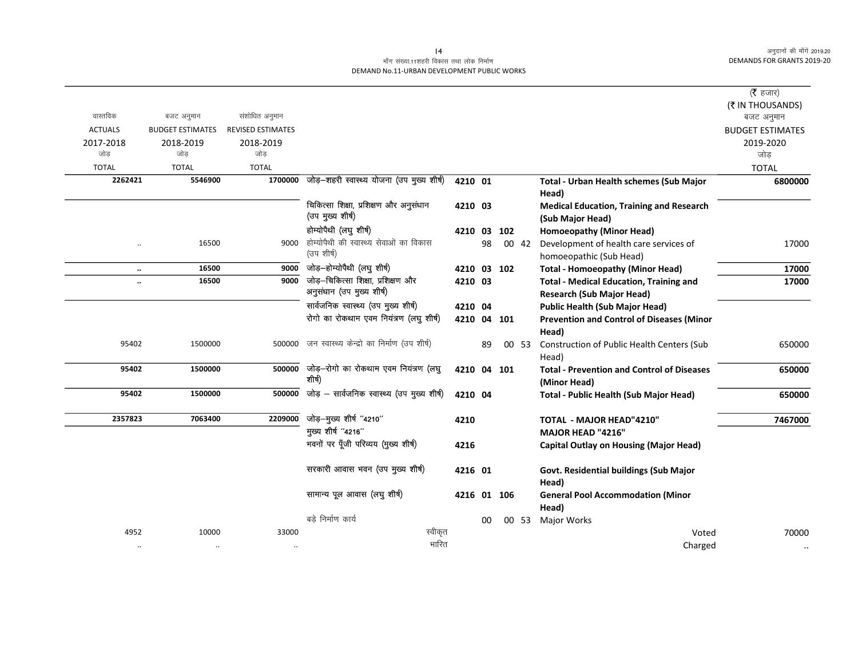## माँग संख्या.11शहरी विकास तथा लोक निर्माण DEMAND No.11-URBAN DEVELOPMENT PUBLIC WORKS

|                |                         |                   |                                                    |             |    |     |       |                                                   | ( $\bar{\tau}$ हजार)    |
|----------------|-------------------------|-------------------|----------------------------------------------------|-------------|----|-----|-------|---------------------------------------------------|-------------------------|
|                |                         |                   |                                                    |             |    |     |       |                                                   | (₹ IN THOUSANDS)        |
| वास्तविक       | बजट अनुमान              | संशोधित अनुमान    |                                                    |             |    |     |       |                                                   | बजट अनुमान              |
| <b>ACTUALS</b> | <b>BUDGET ESTIMATES</b> | REVISED ESTIMATES |                                                    |             |    |     |       |                                                   | <b>BUDGET ESTIMATES</b> |
| 2017-2018      | 2018-2019               | 2018-2019         |                                                    |             |    |     |       |                                                   | 2019-2020               |
| जोड            | जोड                     | जोड               |                                                    |             |    |     |       |                                                   | जोड                     |
| <b>TOTAL</b>   | <b>TOTAL</b>            | <b>TOTAL</b>      |                                                    |             |    |     |       |                                                   | <b>TOTAL</b>            |
| 2262421        | 5546900                 |                   | 1700000 जोड़-शहरी स्वास्थ्य योजना (उप मुख्य शीर्ष) | 4210 01     |    |     |       | Total - Urban Health schemes (Sub Major           | 6800000                 |
|                |                         |                   |                                                    |             |    |     |       | Head)                                             |                         |
|                |                         |                   | चिकित्सा शिक्षा, प्रशिक्षण और अनुसंधान             | 4210 03     |    |     |       | <b>Medical Education, Training and Research</b>   |                         |
|                |                         |                   | (उप मुख्य शीर्ष)                                   |             |    |     |       | (Sub Major Head)                                  |                         |
|                |                         |                   | होम्योपैथी (लघु शीर्ष)                             | 4210 03     |    | 102 |       | Homoeopathy (Minor Head)                          |                         |
|                | 16500                   | 9000              | होम्योपैथी की स्वास्थ्य सेवाओं का विकास            |             | 98 |     | 00 42 | Development of health care services of            | 17000                   |
|                |                         |                   | (उप शीर्ष)                                         |             |    |     |       | homoeopathic (Sub Head)                           |                         |
| $\ddotsc$      | 16500                   | 9000              | जोड़-होम्योपैथी (लघु शीर्ष)                        | 4210 03 102 |    |     |       | <b>Total - Homoeopathy (Minor Head)</b>           | 17000                   |
| $\ddotsc$      | 16500                   | 9000              | जोड़-चिकित्सा शिक्षा, प्रशिक्षण और                 | 4210 03     |    |     |       | <b>Total - Medical Education, Training and</b>    | 17000                   |
|                |                         |                   | अनुसंधान (उप मुख्य शीर्ष)                          |             |    |     |       | <b>Research (Sub Major Head)</b>                  |                         |
|                |                         |                   | सार्वजनिक स्वास्थ्य (उप मुख्य शीर्ष)               | 4210 04     |    |     |       | <b>Public Health (Sub Major Head)</b>             |                         |
|                |                         |                   | रोगो का रोकथाम एवम नियंत्रण (लघु शीर्ष)            | 4210 04     |    | 101 |       | <b>Prevention and Control of Diseases (Minor</b>  |                         |
|                |                         |                   |                                                    |             |    |     |       | Head)                                             |                         |
| 95402          | 1500000                 |                   | 500000 जन स्वास्थ्य केन्द्रो का निर्माण (उप शीर्ष) |             | 89 |     | 00 53 | Construction of Public Health Centers (Sub        | 650000                  |
|                |                         |                   |                                                    |             |    |     |       | Head)                                             |                         |
| 95402          | 1500000                 | 500000            | जोड़-रोगो का रोकथाम एवम नियंत्रण (लघु              | 4210 04     |    | 101 |       | <b>Total - Prevention and Control of Diseases</b> | 650000                  |
|                |                         |                   | शीर्ष)                                             |             |    |     |       | (Minor Head)                                      |                         |
| 95402          | 1500000                 | 500000            | जोड़ – सार्वजनिक स्वास्थ्य (उप मुख्य शीर्ष)        | 4210 04     |    |     |       | <b>Total - Public Health (Sub Major Head)</b>     | 650000                  |
|                |                         |                   |                                                    |             |    |     |       |                                                   |                         |
| 2357823        | 7063400                 | 2209000           | जोड़-मुख्य शीर्ष "4210"<br>मुख्य शीर्ष "4216"      | 4210        |    |     |       | <b>TOTAL - MAJOR HEAD"4210"</b>                   | 7467000                 |
|                |                         |                   | भवनों पर पूँजी परिव्यय (मुख्य शीर्ष)               |             |    |     |       | MAJOR HEAD "4216"                                 |                         |
|                |                         |                   |                                                    | 4216        |    |     |       | <b>Capital Outlay on Housing (Major Head)</b>     |                         |
|                |                         |                   | सरकारी आवास भवन (उप मुख्य शीर्ष)                   | 4216 01     |    |     |       | Govt. Residential buildings (Sub Major            |                         |
|                |                         |                   |                                                    |             |    |     |       | Head)                                             |                         |
|                |                         |                   | सामान्य पूल आवास (लघु शीर्ष)                       | 4216 01 106 |    |     |       | <b>General Pool Accommodation (Minor</b>          |                         |
|                |                         |                   |                                                    |             |    |     |       | Head)                                             |                         |
|                |                         |                   | बड़े निर्माण कार्य                                 |             | 00 |     | 00 53 | <b>Major Works</b>                                |                         |
| 4952           | 10000                   | 33000             | स्वीकृत                                            |             |    |     |       | Voted                                             | 70000                   |
| $\ddotsc$      | $\ddotsc$               | $\ddotsc$         | भारित                                              |             |    |     |       | Charged                                           |                         |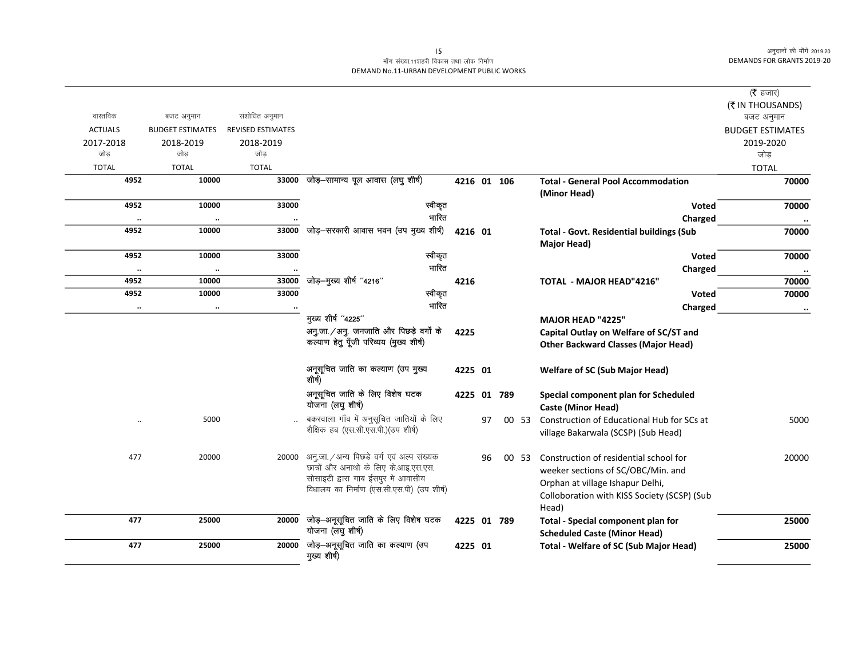## माँग संख्या.11शहरी विकास तथा लोक निर्माण DEMAND No.11-URBAN DEVELOPMENT PUBLIC WORKS

|                |                         |                          |                                                 |             |    |             |       |                                                 | ( $\bar{\tau}$ हजार)    |
|----------------|-------------------------|--------------------------|-------------------------------------------------|-------------|----|-------------|-------|-------------------------------------------------|-------------------------|
|                |                         |                          |                                                 |             |    |             |       |                                                 | (₹ IN THOUSANDS)        |
| वास्तविक       | बजट अनुमान              | संशोधित अनुमान           |                                                 |             |    |             |       |                                                 | बजट अनुमान              |
| <b>ACTUALS</b> | <b>BUDGET ESTIMATES</b> | <b>REVISED ESTIMATES</b> |                                                 |             |    |             |       |                                                 | <b>BUDGET ESTIMATES</b> |
| 2017-2018      | 2018-2019               | 2018-2019                |                                                 |             |    |             |       |                                                 | 2019-2020               |
| जोड            | जोड                     | जोड                      |                                                 |             |    |             |       |                                                 | जोड़                    |
| <b>TOTAL</b>   | <b>TOTAL</b>            | <b>TOTAL</b>             |                                                 |             |    |             |       |                                                 | <b>TOTAL</b>            |
| 4952           | 10000                   | 33000                    | जोड़–सामान्य पूल आवास (लघु शीर्ष)               |             |    | 4216 01 106 |       | <b>Total - General Pool Accommodation</b>       | 70000                   |
|                |                         |                          |                                                 |             |    |             |       | (Minor Head)                                    |                         |
| 4952           | 10000                   | 33000                    | स्वीकृत                                         |             |    |             |       | <b>Voted</b>                                    | 70000                   |
| $\ddotsc$      | $\ddotsc$               |                          | भारित                                           |             |    |             |       | Charged                                         |                         |
| 4952           | 10000                   | 33000                    | जोड़-सरकारी आवास भवन (उप मुख्य शीर्ष)           | 4216 01     |    |             |       | <b>Total - Govt. Residential buildings (Sub</b> | 70000                   |
|                |                         |                          |                                                 |             |    |             |       | Major Head)                                     |                         |
| 4952           | 10000                   | 33000                    | स्वीकृत                                         |             |    |             |       | <b>Voted</b>                                    | 70000                   |
| $\cdot\cdot$   | $\ldots$                |                          | भारित                                           |             |    |             |       | Charged                                         | $\ddot{\phantom{a}}$    |
| 4952           | 10000                   | 33000                    | जोड़-मुख्य शीर्ष "4216"                         | 4216        |    |             |       | <b>TOTAL - MAJOR HEAD"4216"</b>                 | 70000                   |
| 4952           | 10000                   | 33000                    | स्वीकृत                                         |             |    |             |       | Voted                                           | 70000                   |
| $\cdot\cdot$   | $\ddotsc$               |                          | भारित                                           |             |    |             |       | Charged                                         | $\cdot\cdot$            |
|                |                         |                          | मुख्य शीर्ष "4225"                              |             |    |             |       | <b>MAJOR HEAD "4225"</b>                        |                         |
|                |                         |                          | अनु.जा./अनु. जनजाति और पिछड़े वर्गों के         | 4225        |    |             |       | Capital Outlay on Welfare of SC/ST and          |                         |
|                |                         |                          | कल्याण हेतु पूँजी परिव्यय (मुख्य शीर्ष)         |             |    |             |       | <b>Other Backward Classes (Major Head)</b>      |                         |
|                |                         |                          |                                                 |             |    |             |       |                                                 |                         |
|                |                         |                          | अनूसूचित जाति का कल्याण (उप मुख्य<br>शीर्ष)     | 4225 01     |    |             |       | <b>Welfare of SC (Sub Major Head)</b>           |                         |
|                |                         |                          | अनूसूचित जाति के लिए विशेष घटक                  |             |    | 4225 01 789 |       | Special component plan for Scheduled            |                         |
|                |                         |                          | योजना (लघु शीर्ष)                               |             |    |             |       | <b>Caste (Minor Head)</b>                       |                         |
| $\ddotsc$      | 5000                    |                          | बकरवाला गाँव में अनुसूचित जातियों के लिए        |             | 97 |             | 00 53 | Construction of Educational Hub for SCs at      | 5000                    |
|                |                         |                          | शैक्षिक हब (एस.सी.एस.पी.)(उप शीर्ष)             |             |    |             |       | village Bakarwala (SCSP) (Sub Head)             |                         |
|                |                         |                          |                                                 |             |    |             |       |                                                 |                         |
| 477            | 20000                   |                          | 20000 अनु.जा. / अन्य पिछडे वर्ग एवं अल्प संख्यक |             | 96 |             | 00 53 | Construction of residential school for          | 20000                   |
|                |                         |                          | छात्रों और अनाथो के लिए के.आइ.एस.एस.            |             |    |             |       | weeker sections of SC/OBC/Min. and              |                         |
|                |                         |                          | सोसाइटी द्वारा गाब ईसपुर मे आवासीय              |             |    |             |       | Orphan at village Ishapur Delhi,                |                         |
|                |                         |                          | विधालय का निर्माण (एस.सी.एस.पी) (उप शीर्ष)      |             |    |             |       | Colloboration with KISS Society (SCSP) (Sub     |                         |
|                |                         |                          |                                                 |             |    |             |       | Head)                                           |                         |
| 477            | 25000                   | 20000                    | जोड़-अनूसूचित जाति के लिए विशेष घटक             | 4225 01 789 |    |             |       | Total - Special component plan for              | 25000                   |
|                |                         |                          | योजना (लघु शीर्ष)                               |             |    |             |       | <b>Scheduled Caste (Minor Head)</b>             |                         |
| 477            | 25000                   | 20000                    | जोड़-अनूसूचित जाति का कल्याण (उप                | 4225 01     |    |             |       | Total - Welfare of SC (Sub Major Head)          | 25000                   |
|                |                         |                          | मुख्य शीर्ष)                                    |             |    |             |       |                                                 |                         |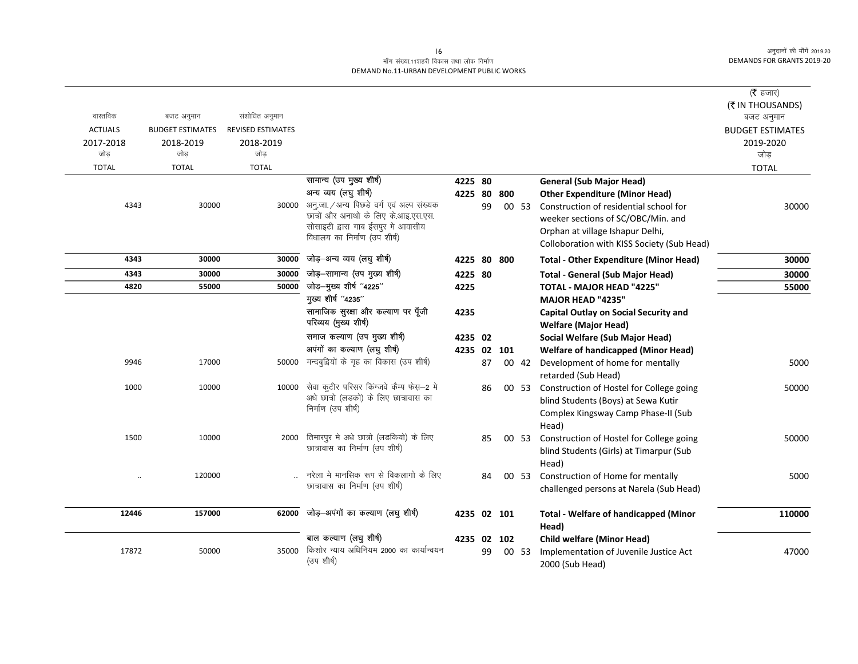## माँग संख्या.11शहरी विकास तथा लोक निर्माण DEMAND No.11-URBAN DEVELOPMENT PUBLIC WORKS

|                |                         |                          |                                                             |             |    |     |       |                                                                             | ( $\bar{\tau}$ हजार)<br>(₹ IN THOUSANDS) |
|----------------|-------------------------|--------------------------|-------------------------------------------------------------|-------------|----|-----|-------|-----------------------------------------------------------------------------|------------------------------------------|
| वास्तविक       | बजट अनुमान              | संशोधित अनुमान           |                                                             |             |    |     |       |                                                                             | बजट अनुमान                               |
| <b>ACTUALS</b> | <b>BUDGET ESTIMATES</b> | <b>REVISED ESTIMATES</b> |                                                             |             |    |     |       |                                                                             | <b>BUDGET ESTIMATES</b>                  |
| 2017-2018      | 2018-2019               | 2018-2019                |                                                             |             |    |     |       |                                                                             | 2019-2020                                |
| जोड            | जोड                     | जोड़                     |                                                             |             |    |     |       |                                                                             | जोड़                                     |
| <b>TOTAL</b>   | <b>TOTAL</b>            | <b>TOTAL</b>             |                                                             |             |    |     |       |                                                                             | <b>TOTAL</b>                             |
|                |                         |                          | सामान्य (उप मुख्य शीर्ष)<br>अन्य व्यय (लघु शीर्ष)           | 4225 80     |    |     |       | <b>General (Sub Major Head)</b>                                             |                                          |
| 4343           | 30000                   |                          | 30000 अनु.जा. / अन्य पिछडे वर्ग एवं अल्प संख्यक             | 4225 80     |    | 800 |       | <b>Other Expenditure (Minor Head)</b>                                       |                                          |
|                |                         |                          | छात्रों और अनाथो के लिए के.आइ.एस.एस.                        |             | 99 |     | 00 53 | Construction of residential school for                                      | 30000                                    |
|                |                         |                          | सोसाइटी द्वारा गाब ईसपुर मे आवासीय                          |             |    |     |       | weeker sections of SC/OBC/Min. and                                          |                                          |
|                |                         |                          | विधालय का निर्माण (उप शीर्ष)                                |             |    |     |       | Orphan at village Ishapur Delhi,                                            |                                          |
|                |                         |                          |                                                             |             |    |     |       | Colloboration with KISS Society (Sub Head)                                  |                                          |
| 4343           | 30000                   | 30000                    | जोड़-अन्य व्यय (लघु शीर्ष)                                  | 4225 80 800 |    |     |       | <b>Total - Other Expenditure (Minor Head)</b>                               | 30000                                    |
| 4343           | 30000                   | 30000                    | जोड़-सामान्य (उप मुख्य शीर्ष)                               | 4225 80     |    |     |       | <b>Total - General (Sub Major Head)</b>                                     | 30000                                    |
| 4820           | 55000                   | 50000                    | जोड़—मुख्य शीर्ष "4225"                                     | 4225        |    |     |       | <b>TOTAL - MAJOR HEAD "4225"</b>                                            | 55000                                    |
|                |                         |                          | मुख्य शीर्ष "4235"                                          |             |    |     |       | <b>MAJOR HEAD "4235"</b>                                                    |                                          |
|                |                         |                          | सामाजिक सुरक्षा और कल्याण पर पूँजी<br>परिव्यय (मुख्य शीर्ष) | 4235        |    |     |       | <b>Capital Outlay on Social Security and</b><br><b>Welfare (Major Head)</b> |                                          |
|                |                         |                          | समाज कल्याण (उप मुख्य शीर्ष)                                | 4235 02     |    |     |       | Social Welfare (Sub Major Head)                                             |                                          |
|                |                         |                          | अपंगों का कल्याण (लघु शीर्ष)                                | 4235 02 101 |    |     |       | <b>Welfare of handicapped (Minor Head)</b>                                  |                                          |
| 9946           | 17000                   | 50000                    | मन्दबुद्वियों के गृह का विकास (उप शीर्ष)                    |             | 87 |     | 00 42 | Development of home for mentally<br>retarded (Sub Head)                     | 5000                                     |
| 1000           | 10000                   | 10000                    | सेवा कुटीर परिसर किंग्जवे कैम्प फेस़—2 मे                   |             | 86 |     | 00 53 | Construction of Hostel for College going                                    | 50000                                    |
|                |                         |                          | अधे छात्रो (लडको) के लिए छात्रावास का                       |             |    |     |       | blind Students (Boys) at Sewa Kutir                                         |                                          |
|                |                         |                          | निर्माण (उप शीर्ष)                                          |             |    |     |       | Complex Kingsway Camp Phase-II (Sub                                         |                                          |
|                |                         |                          |                                                             |             |    |     |       | Head)                                                                       |                                          |
| 1500           | 10000                   | 2000                     | तिमारपुर मे अधे छात्रो (लडकियो) के लिए                      |             | 85 |     | 00 53 | Construction of Hostel for College going                                    | 50000                                    |
|                |                         |                          | छात्रावास का निर्माण (उप शीर्ष)                             |             |    |     |       | blind Students (Girls) at Timarpur (Sub                                     |                                          |
|                |                         |                          |                                                             |             |    |     |       | Head)                                                                       |                                          |
|                | 120000                  |                          | नरेला मे मानसिक रूप से विकलागो के लिए                       |             | 84 |     | 00 53 | Construction of Home for mentally                                           | 5000                                     |
|                |                         |                          | छात्रावास का निर्माण (उप शीर्ष)                             |             |    |     |       | challenged persons at Narela (Sub Head)                                     |                                          |
| 12446          | 157000                  | 62000                    | जोड़-अपंगों का कल्याण (लघु शीर्ष)                           | 4235 02 101 |    |     |       | <b>Total - Welfare of handicapped (Minor</b>                                | 110000                                   |
|                |                         |                          | बाल कल्याण (लघु शीर्ष)                                      |             |    |     |       | Head)                                                                       |                                          |
|                | 50000                   | 35000                    | किशोर न्याय अधिनियम 2000 का कार्यान्वयन                     | 4235 02 102 |    |     |       | <b>Child welfare (Minor Head)</b>                                           |                                          |
| 17872          |                         |                          | (उप शीर्ष)                                                  |             | 99 |     | 00 53 | Implementation of Juvenile Justice Act<br>2000 (Sub Head)                   | 47000                                    |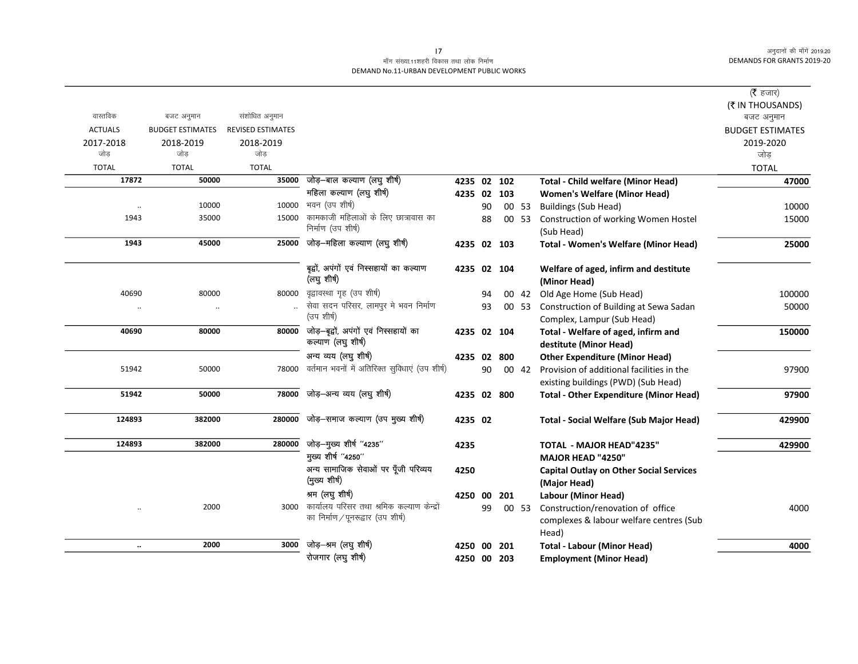## माँग संख्या.11शहरी विकास तथा लोक निर्माण DEMAND No.11-URBAN DEVELOPMENT PUBLIC WORKS

|                |                         |                          |                                                |             |    |     |       |                                                | ( $\bar{\tau}$ हजार)           |
|----------------|-------------------------|--------------------------|------------------------------------------------|-------------|----|-----|-------|------------------------------------------------|--------------------------------|
| वास्तविक       | बजट अनुमान              | संशोधित अनुमान           |                                                |             |    |     |       |                                                | (₹ IN THOUSANDS)<br>बजट अनुमान |
| <b>ACTUALS</b> | <b>BUDGET ESTIMATES</b> | <b>REVISED ESTIMATES</b> |                                                |             |    |     |       |                                                | <b>BUDGET ESTIMATES</b>        |
| 2017-2018      | 2018-2019               | 2018-2019                |                                                |             |    |     |       |                                                | 2019-2020                      |
| जोड            | जोड                     | जोड                      |                                                |             |    |     |       |                                                | जोड़                           |
| <b>TOTAL</b>   | <b>TOTAL</b>            | <b>TOTAL</b>             |                                                |             |    |     |       |                                                | <b>TOTAL</b>                   |
| 17872          | 50000                   | 35000                    | जोड़—बाल कल्याण (लघु शीर्ष)                    | 4235 02 102 |    |     |       | <b>Total - Child welfare (Minor Head)</b>      | 47000                          |
|                |                         |                          | महिला कल्याण (लघु शीर्ष)                       | 4235 02 103 |    |     |       | <b>Women's Welfare (Minor Head)</b>            |                                |
|                | 10000                   | 10000                    | भवन (उप शीर्ष)                                 |             | 90 |     | 00 53 | <b>Buildings (Sub Head)</b>                    | 10000                          |
| 1943           | 35000                   | 15000                    | कामकाजी महिलाओं के लिए छात्रावास का            |             | 88 |     | 00 53 | Construction of working Women Hostel           | 15000                          |
|                |                         |                          | निर्माण (उप शीर्ष)                             |             |    |     |       | (Sub Head)                                     |                                |
| 1943           | 45000                   | 25000                    | जोड़—महिला कल्याण (लघु शीर्ष)                  | 4235 02 103 |    |     |       | Total - Women's Welfare (Minor Head)           | 25000                          |
|                |                         |                          | बृद्वों, अपंगों एवं निस्सहायों का कल्याण       | 4235 02 104 |    |     |       | Welfare of aged, infirm and destitute          |                                |
|                |                         |                          | (लघु शीर्ष)                                    |             |    |     |       | (Minor Head)                                   |                                |
| 40690          | 80000                   | 80000                    | वृद्वावस्था गृह (उप शीर्ष)                     |             | 94 |     | 00 42 | Old Age Home (Sub Head)                        | 100000                         |
| $\cdot\cdot$   | $\ldots$                |                          | सेवा सदन परिसर, लामपुर मे भवन निर्माण          |             | 93 |     | 00 53 | Construction of Building at Sewa Sadan         | 50000                          |
|                |                         |                          | (उप शीर्ष)                                     |             |    |     |       | Complex, Lampur (Sub Head)                     |                                |
| 40690          | 80000                   | 80000                    | जोड़-बूद्वों, अपंगों एवं निस्सहायों का         | 4235 02 104 |    |     |       | Total - Welfare of aged, infirm and            | 150000                         |
|                |                         |                          | कल्याण (लघु शीर्ष)                             |             |    |     |       | destitute (Minor Head)                         |                                |
|                |                         |                          | अन्य व्यय (लघु शीर्ष)                          | 4235 02 800 |    |     |       | <b>Other Expenditure (Minor Head)</b>          |                                |
| 51942          | 50000                   | 78000                    | वर्तमान भवनों में अतिरिक्त सुविधाएं (उप शीर्ष) |             | 90 |     | 00 42 | Provision of additional facilities in the      | 97900                          |
|                |                         |                          |                                                |             |    |     |       | existing buildings (PWD) (Sub Head)            |                                |
| 51942          | 50000                   | 78000                    | जोड़-अन्य व्यय (लघु शीर्ष)                     | 4235 02 800 |    |     |       | <b>Total - Other Expenditure (Minor Head)</b>  | 97900                          |
| 124893         | 382000                  | 280000                   | जोड़-समाज कल्याण (उप मुख्य शीर्ष)              | 4235 02     |    |     |       | <b>Total - Social Welfare (Sub Major Head)</b> | 429900                         |
| 124893         | 382000                  | 280000                   | जोड़-मुख्य शीर्ष "4235"                        | 4235        |    |     |       | <b>TOTAL - MAJOR HEAD"4235"</b>                | 429900                         |
|                |                         |                          | मुख्य शीर्ष "4250"                             |             |    |     |       | <b>MAJOR HEAD "4250"</b>                       |                                |
|                |                         |                          | अन्य सामाजिक सेवाओं पर पूँजी परिव्यय           | 4250        |    |     |       | <b>Capital Outlay on Other Social Services</b> |                                |
|                |                         |                          | (मुख्य शीर्ष)                                  |             |    |     |       | (Major Head)                                   |                                |
|                |                         |                          | श्रम (लघु शीर्ष)                               | 4250 00     |    | 201 |       | Labour (Minor Head)                            |                                |
| $\ddotsc$      | 2000                    | 3000                     | कार्यालय परिसर तथा श्रमिक कल्याण केन्द्रों     |             | 99 |     | 00 53 | Construction/renovation of office              | 4000                           |
|                |                         |                          | का निर्माण / पूनरूद्वार (उप शीर्ष)             |             |    |     |       | complexes & labour welfare centres (Sub        |                                |
|                |                         |                          |                                                |             |    |     |       | Head)                                          |                                |
| $\ddotsc$      | 2000                    | 3000                     | जोड़-श्रम (लघु शीर्ष)                          | 4250 00     |    | 201 |       | <b>Total - Labour (Minor Head)</b>             | 4000                           |
|                |                         |                          | रोजगार (लघु शीर्ष)                             | 4250 00 203 |    |     |       | <b>Employment (Minor Head)</b>                 |                                |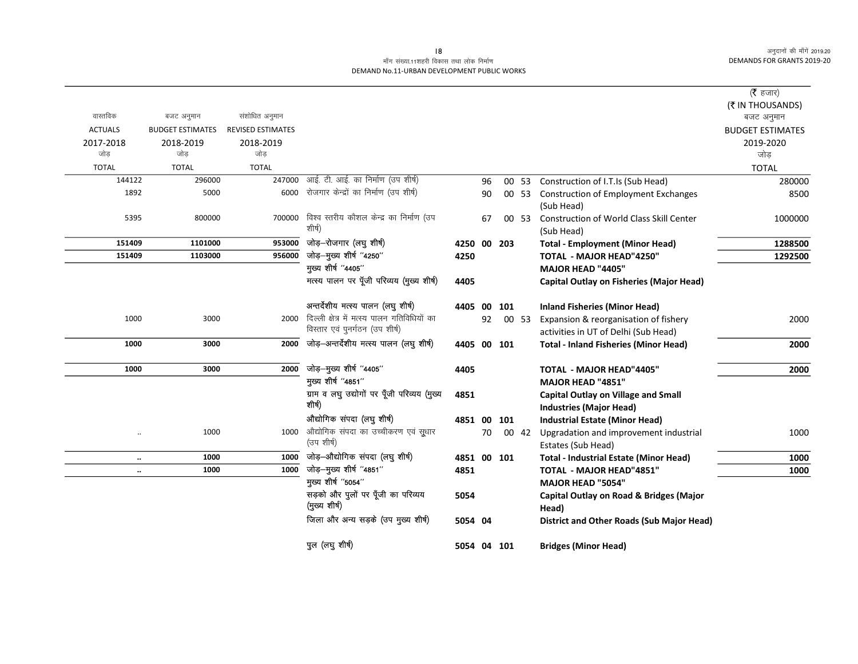## माँग संख्या.11शहरी विकास तथा लोक निर्माण DEMAND No.11-URBAN DEVELOPMENT PUBLIC WORKS

|                |                         |                          |                                              |             |    |       |                                                           | (रै हजार)               |
|----------------|-------------------------|--------------------------|----------------------------------------------|-------------|----|-------|-----------------------------------------------------------|-------------------------|
|                |                         |                          |                                              |             |    |       |                                                           | (₹ IN THOUSANDS)        |
| वास्तविक       | बजट अनुमान              | संशोधित अनुमान           |                                              |             |    |       |                                                           | बजट अनुमान              |
| <b>ACTUALS</b> | <b>BUDGET ESTIMATES</b> | <b>REVISED ESTIMATES</b> |                                              |             |    |       |                                                           | <b>BUDGET ESTIMATES</b> |
| 2017-2018      | 2018-2019               | 2018-2019                |                                              |             |    |       |                                                           | 2019-2020               |
| जोड            | जोड                     | जोड                      |                                              |             |    |       |                                                           | जोड़                    |
| <b>TOTAL</b>   | <b>TOTAL</b>            | <b>TOTAL</b>             |                                              |             |    |       |                                                           | <b>TOTAL</b>            |
| 144122         | 296000                  | 247000                   | आई. टी. आई. का निर्माण (उप शीर्ष)            |             | 96 | 00 53 | Construction of I.T.Is (Sub Head)                         | 280000                  |
| 1892           | 5000                    | 6000                     | रोजगार केन्द्रों का निर्माण (उप शीर्ष)       |             | 90 | 00 53 | <b>Construction of Employment Exchanges</b><br>(Sub Head) | 8500                    |
| 5395           | 800000                  | 700000                   | विश्व स्तरीय कौशल केन्द्र का निर्माण (उप     |             | 67 | 00 53 | <b>Construction of World Class Skill Center</b>           | 1000000                 |
|                |                         |                          | शीर्ष)                                       |             |    |       | (Sub Head)                                                |                         |
| 151409         | 1101000                 | 953000                   | जोड़-रोजगार (लघु शीर्ष)                      | 4250 00 203 |    |       | <b>Total - Employment (Minor Head)</b>                    | 1288500                 |
| 151409         | 1103000                 | 956000                   | जोड़-मुख्य शीर्ष "4250"                      | 4250        |    |       | <b>TOTAL - MAJOR HEAD"4250"</b>                           | 1292500                 |
|                |                         |                          | मुख्य शीर्ष "4405"                           |             |    |       | <b>MAJOR HEAD "4405"</b>                                  |                         |
|                |                         |                          | मत्स्य पालन पर पूँजी परिव्यय (मुख्य शीर्ष)   | 4405        |    |       | <b>Capital Outlay on Fisheries (Major Head)</b>           |                         |
|                |                         |                          | अन्तर्देशीय मत्स्य पालन (लघु शीर्ष)          | 4405 00 101 |    |       | <b>Inland Fisheries (Minor Head)</b>                      |                         |
| 1000           | 3000                    | 2000                     | दिल्ली क्षेत्र में मत्स्य पालन गतिविधियों का |             | 92 | 00 53 | Expansion & reorganisation of fishery                     | 2000                    |
|                |                         |                          | विस्तार एवं पुनर्गठन (उप शीर्ष)              |             |    |       | activities in UT of Delhi (Sub Head)                      |                         |
| 1000           | 3000                    | 2000                     | जोड़-अन्तर्देशीय मत्स्य पालन (लघु शीर्ष)     | 4405 00 101 |    |       | <b>Total - Inland Fisheries (Minor Head)</b>              | 2000                    |
| 1000           | 3000                    | 2000                     | जोड़-मुख्य शीर्ष "4405"                      | 4405        |    |       | <b>TOTAL - MAJOR HEAD"4405"</b>                           | 2000                    |
|                |                         |                          | मुख्य शीर्ष "4851"                           |             |    |       | MAJOR HEAD "4851"                                         |                         |
|                |                         |                          | ग्राम व लघु उद्योगों पर पूँजी परिव्यय (मुख्य | 4851        |    |       | <b>Capital Outlay on Village and Small</b>                |                         |
|                |                         |                          | शीर्ष)                                       |             |    |       | <b>Industries (Major Head)</b>                            |                         |
|                |                         |                          | औद्योगिक संपदा (लघु शीर्ष)                   | 4851 00 101 |    |       | <b>Industrial Estate (Minor Head)</b>                     |                         |
|                | 1000                    | 1000                     | औद्योगिक संपदा का उच्चीकरण एवं सूधार         |             | 70 | 00 42 | Upgradation and improvement industrial                    | 1000                    |
|                |                         |                          | (उप शीर्ष)                                   |             |    |       | Estates (Sub Head)                                        |                         |
| $\ldots$       | 1000                    | 1000                     | जोड़-औद्योगिक संपदा (लघु शीर्ष)              | 4851 00 101 |    |       | <b>Total - Industrial Estate (Minor Head)</b>             | 1000                    |
| $\ddotsc$      | 1000                    | 1000                     | जोड़-मुख्य शीर्ष "4851"                      | 4851        |    |       | <b>TOTAL - MAJOR HEAD"4851"</b>                           | 1000                    |
|                |                         |                          | मुख्य शीर्ष "5054"                           |             |    |       | <b>MAJOR HEAD "5054"</b>                                  |                         |
|                |                         |                          | सड़को और पुलों पर पूँजी का परिव्यय           | 5054        |    |       | Capital Outlay on Road & Bridges (Major                   |                         |
|                |                         |                          | (मुख्य शीर्ष)                                |             |    |       | Head)                                                     |                         |
|                |                         |                          | जिला और अन्य सड़के (उप मुख्य शीर्ष)          | 5054 04     |    |       | <b>District and Other Roads (Sub Major Head)</b>          |                         |
|                |                         |                          | पुल (लघु शीर्ष)                              | 5054 04 101 |    |       | <b>Bridges (Minor Head)</b>                               |                         |

#### $|8$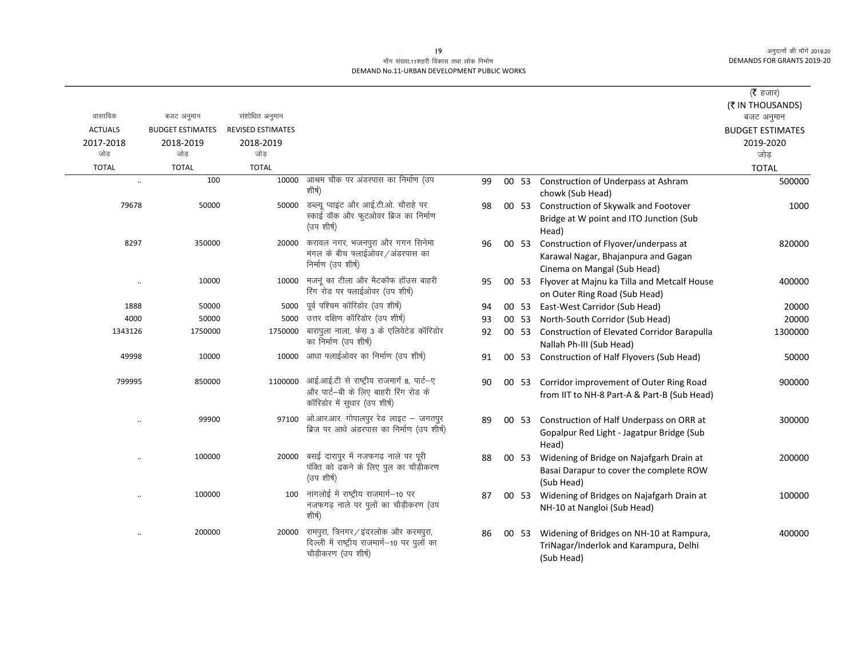### माँग संख्या.11शहरी विकास तथा लोक निर्माण DEMAND No.11-URBAN DEVELOPMENT PUBLIC WORKS

|                      |                         |                          |                                                                                                                   |    |       |                                                                                                            | ( $\bar{\tau}$ हजार)<br>(₹ IN THOUSANDS) |
|----------------------|-------------------------|--------------------------|-------------------------------------------------------------------------------------------------------------------|----|-------|------------------------------------------------------------------------------------------------------------|------------------------------------------|
| वास्तविक             | बजट अनुमान              | संशोधित अनुमान           |                                                                                                                   |    |       |                                                                                                            | बजट अनुमान                               |
| <b>ACTUALS</b>       | <b>BUDGET ESTIMATES</b> | <b>REVISED ESTIMATES</b> |                                                                                                                   |    |       |                                                                                                            | <b>BUDGET ESTIMATES</b>                  |
| 2017-2018<br>जोड     | 2018-2019<br>जोड        | 2018-2019<br>जोड         |                                                                                                                   |    |       |                                                                                                            | 2019-2020<br>जोड़                        |
| <b>TOTAL</b>         | <b>TOTAL</b>            | <b>TOTAL</b>             |                                                                                                                   |    |       |                                                                                                            | <b>TOTAL</b>                             |
| $\ddot{\phantom{a}}$ | 100                     | 10000                    | आश्रम चौक पर अंडरपास का निर्माण (उप<br>शीर्ष)                                                                     | 99 | 00 53 | Construction of Underpass at Ashram<br>chowk (Sub Head)                                                    | 500000                                   |
| 79678                | 50000                   | 50000                    | डब्ल्यू प्वाइंट और आई.टी.ओ. चौराहे पर<br>स्काई वॉक और फुटओवर ब्रिज का निर्माण<br>(उप शीर्ष)                       | 98 |       | 00 53 Construction of Skywalk and Footover<br>Bridge at W point and ITO Junction (Sub<br>Head)             | 1000                                     |
| 8297                 | 350000                  | 20000                    | करावल नगर, भजनपुरा और गगन सिनेमा<br>मंगल के बीच फ्लाईओवर / अंडरपास का<br>निर्माण (उप शीर्ष)                       | 96 | 00 53 | Construction of Flyover/underpass at<br>Karawal Nagar, Bhajanpura and Gagan<br>Cinema on Mangal (Sub Head) | 820000                                   |
| $\ddot{\phantom{a}}$ | 10000                   | 10000                    | मजनूं का टीला और मैटकॉफ हॉउस बाहरी<br>रिंग रोड पर फ्लाईओवर (उप शीर्ष)                                             | 95 | 00 53 | Flyover at Majnu ka Tilla and Metcalf House<br>on Outer Ring Road (Sub Head)                               | 400000                                   |
| 1888                 | 50000                   | 5000                     | पूर्व पश्चिम कॉरिडोर (उप शीर्ष)                                                                                   | 94 | 00 53 | East-West Carridor (Sub Head)                                                                              | 20000                                    |
| 4000                 | 50000                   | 5000                     | उत्तर दक्षिण कॉरिडोर (उप शीर्ष)                                                                                   | 93 | 00 53 | North-South Corridor (Sub Head)                                                                            | 20000                                    |
| 1343126              | 1750000                 | 1750000                  | बारापुला नाला, फेस 3 के एलिवेटेड कॉरिडोर<br>का निर्माण (उप शीर्ष)                                                 | 92 | 00 53 | <b>Construction of Elevated Corridor Barapulla</b><br>Nallah Ph-III (Sub Head)                             | 1300000                                  |
| 49998                | 10000                   | 10000                    | आधा फ्लाईओवर का निर्माण (उप शीर्ष)                                                                                | 91 |       | 00 53 Construction of Half Flyovers (Sub Head)                                                             | 50000                                    |
| 799995               | 850000                  | 1100000                  | आई.आई.टी से राष्ट्रीय राजमार्ग 8, पार्ट-ए<br>और पार्ट–बी के लिए बाहरी रिंग रोड के<br>कॉरिडोर में सुधार (उप शीर्ष) | 90 |       | 00 53 Corridor improvement of Outer Ring Road<br>from IIT to NH-8 Part-A & Part-B (Sub Head)               | 900000                                   |
|                      | 99900                   | 97100                    | ओ.आर.आर. गोपालपुर रेड लाइट - जगतपुर<br>ब्रिज पर आधे अंडरपास का निर्माण (उप शीर्ष)                                 | 89 | 00 53 | Construction of Half Underpass on ORR at<br>Gopalpur Red Light - Jagatpur Bridge (Sub<br>Head)             | 300000                                   |
|                      | 100000                  | 20000                    | बसई दारापुर में नजफगढ़ नाले पर पूरी<br>पंक्ति को ढकने के लिए पुल का चौड़ीकरण<br>(उप शीर्ष)                        | 88 | 00 53 | Widening of Bridge on Najafgarh Drain at<br>Basai Darapur to cover the complete ROW<br>(Sub Head)          | 200000                                   |
|                      | 100000                  |                          | 100 नांगलोई में राष्ट्रीय राजमार्ग-10 पर<br>नजफगढ़ नाले पर पुलों का चौड़ीकरण (उप<br>शीर्ष)                        | 87 | 00 53 | Widening of Bridges on Najafgarh Drain at<br>NH-10 at Nangloi (Sub Head)                                   | 100000                                   |
|                      | 200000                  | 20000                    | रामपुरा, त्रिनगर/इंदरलोक और करमपुरा,<br>दिल्ली में राष्ट्रीय राजमार्ग-10 पर पुलों का<br>चौड़ीकरण (उप शीर्ष)       | 86 | 00 53 | Widening of Bridges on NH-10 at Rampura,<br>TriNagar/Inderlok and Karampura, Delhi<br>(Sub Head)           | 400000                                   |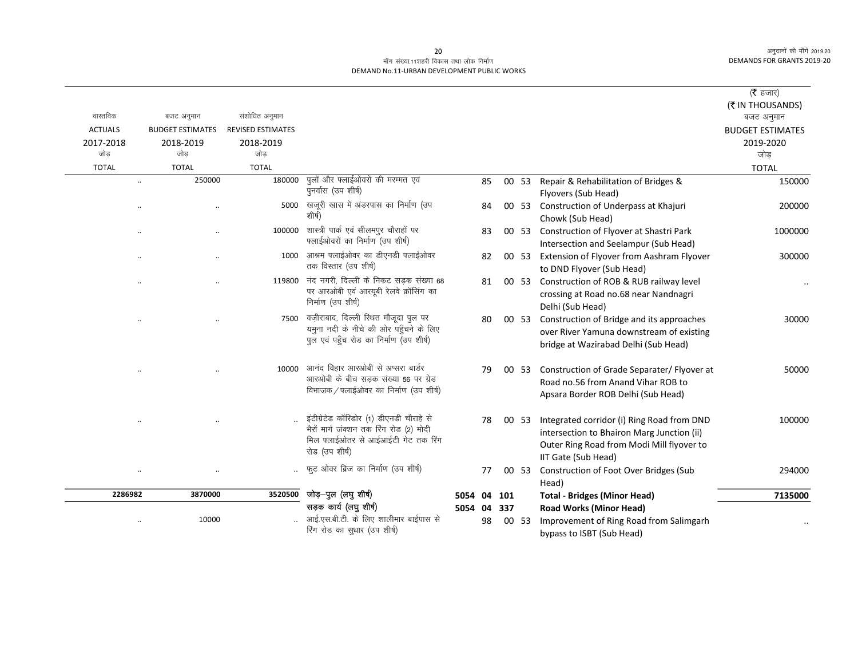# माँग संख्या.11शहरी विकास तथा लोक निर्माण DEMAND No.11-URBAN DEVELOPMENT PUBLIC WORKS

|                |                         |                          |                                                                                                                                             |             |    |     |       |                                                                                                                                                              | ( $\bar{\tau}$ हजार)    |
|----------------|-------------------------|--------------------------|---------------------------------------------------------------------------------------------------------------------------------------------|-------------|----|-----|-------|--------------------------------------------------------------------------------------------------------------------------------------------------------------|-------------------------|
|                |                         |                          |                                                                                                                                             |             |    |     |       |                                                                                                                                                              | (₹ IN THOUSANDS)        |
| वास्तविक       | बजट अनुमान              | संशोधित अनुमान           |                                                                                                                                             |             |    |     |       |                                                                                                                                                              | बजट अनुमान              |
| <b>ACTUALS</b> | <b>BUDGET ESTIMATES</b> | <b>REVISED ESTIMATES</b> |                                                                                                                                             |             |    |     |       |                                                                                                                                                              | <b>BUDGET ESTIMATES</b> |
| 2017-2018      | 2018-2019               | 2018-2019                |                                                                                                                                             |             |    |     |       |                                                                                                                                                              | 2019-2020               |
| जोड            | जोड                     | जोड़                     |                                                                                                                                             |             |    |     |       |                                                                                                                                                              | जोड                     |
| <b>TOTAL</b>   | <b>TOTAL</b>            | <b>TOTAL</b>             |                                                                                                                                             |             |    |     |       |                                                                                                                                                              | <b>TOTAL</b>            |
|                | 250000<br>$\ddotsc$     | 180000                   | पुलों और फ्लाईओवरों की मरम्मत एवं<br>पुनर्वास (उप शीर्ष)                                                                                    |             | 85 |     |       | 00 53 Repair & Rehabilitation of Bridges &<br>Flyovers (Sub Head)                                                                                            | 150000                  |
|                |                         | 5000                     | खजूरी खास में अंडरपास का निर्माण (उप<br>शीर्ष)                                                                                              |             | 84 |     |       | 00 53 Construction of Underpass at Khajuri<br>Chowk (Sub Head)                                                                                               | 200000                  |
|                |                         | 100000                   | शास्त्री पार्क एवं सीलमपुर चौराहों पर<br>फ्लाईओवरों का निर्माण (उप शीर्ष)                                                                   |             | 83 |     |       | 00 53 Construction of Flyover at Shastri Park<br>Intersection and Seelampur (Sub Head)                                                                       | 1000000                 |
|                |                         | 1000                     | आश्रम फ्लाईओवर का डीएनडी फ्लाईओवर<br>तक विस्तार (उप शीर्ष)                                                                                  |             | 82 |     | 00 53 | Extension of Flyover from Aashram Flyover<br>to DND Flyover (Sub Head)                                                                                       | 300000                  |
|                |                         | 119800                   | नंद नगरी, दिल्ली के निकट सड़क संख्या 68<br>पर आरओबी एवं आरयूबी रेलवे क्रॉसिंग का<br>निर्माण (उप शीर्ष)                                      |             | 81 |     | 00 53 | Construction of ROB & RUB railway level<br>crossing at Road no.68 near Nandnagri<br>Delhi (Sub Head)                                                         |                         |
|                | $\ddot{\phantom{0}}$    | 7500                     | वज़ीराबाद, दिल्ली स्थित मौजूदा पुल पर<br>यमुना नदी के नीचे की ओर पहुँचने के लिए<br>पुल एवं पहुँच रोड का निर्माण (उप शीर्ष)                  |             | 80 |     | 00 53 | Construction of Bridge and its approaches<br>over River Yamuna downstream of existing<br>bridge at Wazirabad Delhi (Sub Head)                                | 30000                   |
|                | $\ddotsc$               | 10000                    | आनंद विहार आरओबी से अप्सरा बार्डर<br>आरओबी के बीच सड़क संख्या 56 पर ग्रेड<br>विभाजक / फ्लाईओवर का निर्माण (उप शीर्ष)                        |             | 79 |     | 00 53 | Construction of Grade Separater/ Flyover at<br>Road no.56 from Anand Vihar ROB to<br>Apsara Border ROB Delhi (Sub Head)                                      | 50000                   |
|                |                         |                          | इंटीग्रेटेड कॉरिडोर (1) डीएनडी चौराहे से<br>भैरों मार्ग जंक्शन तक रिंग रोड (2) मोदी<br>मिल फ्लाईओतर से आईआईटी गेट तक रिंग<br>रोड (उप शीर्ष) |             | 78 |     | 00 53 | Integrated corridor (i) Ring Road from DND<br>intersection to Bhairon Marg Junction (ii)<br>Outer Ring Road from Modi Mill flyover to<br>IIT Gate (Sub Head) | 100000                  |
|                |                         |                          | फुट ओवर ब्रिज का निर्माण (उप शीर्ष)                                                                                                         |             | 77 |     | 00 53 | Construction of Foot Over Bridges (Sub<br>Head)                                                                                                              | 294000                  |
| 2286982        | 3870000                 | 3520500                  | जोड़-पुल (लघु शीर्ष)                                                                                                                        | 5054 04 101 |    |     |       | <b>Total - Bridges (Minor Head)</b>                                                                                                                          | 7135000                 |
|                |                         |                          | सड़क कार्य (लघु शीर्ष)                                                                                                                      | 5054 04     |    | 337 |       | <b>Road Works (Minor Head)</b>                                                                                                                               |                         |
|                | 10000                   |                          | आई.एस.बी.टी. के लिए शालीमार बाईपास से                                                                                                       |             | 98 |     | 00 53 | Improvement of Ring Road from Salimgarh                                                                                                                      |                         |
|                |                         |                          | रिंग रोड का सुधार (उप शीर्ष)                                                                                                                |             |    |     |       | bypass to ISBT (Sub Head)                                                                                                                                    |                         |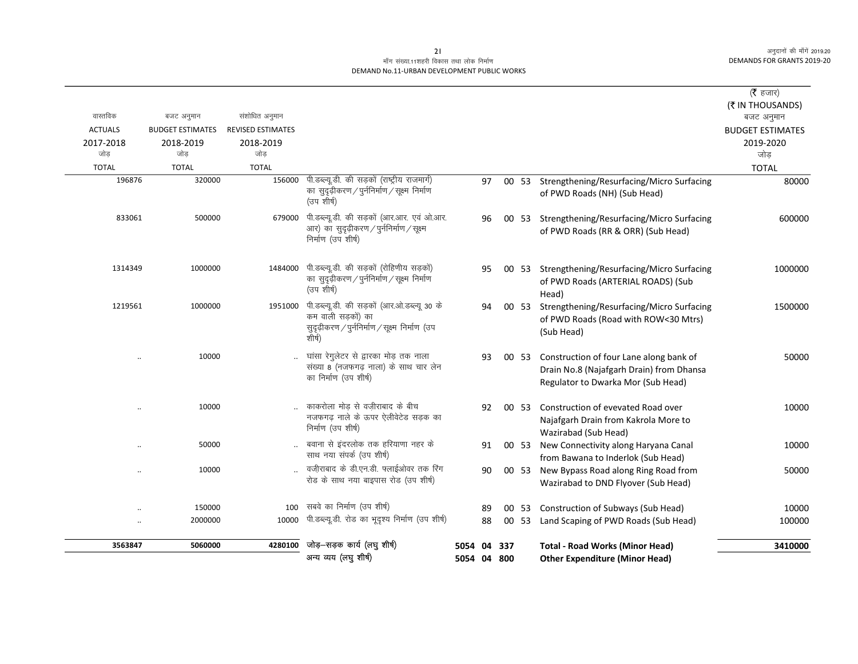# माँग संख्या.11शहरी विकास तथा लोक निर्माण DEMAND No.11-URBAN DEVELOPMENT PUBLIC WORKS

| 3563847          | 5060000                 | 4280100                  | जोड़-सड़क कार्य (लघु शीर्ष)<br>अन्य व्यय (लघु शीर्ष)                                                                           | 5054 04 337<br>5054 04 800 |    |       | <b>Total - Road Works (Minor Head)</b><br><b>Other Expenditure (Minor Head)</b>                                           | 3410000                        |
|------------------|-------------------------|--------------------------|--------------------------------------------------------------------------------------------------------------------------------|----------------------------|----|-------|---------------------------------------------------------------------------------------------------------------------------|--------------------------------|
|                  |                         |                          |                                                                                                                                |                            |    |       |                                                                                                                           |                                |
|                  | 2000000                 | 10000                    | पी.डब्ल्यू.डी. रोड का भूदृश्य निर्माण (उप शीर्ष)                                                                               |                            | 88 | 00 53 | Land Scaping of PWD Roads (Sub Head)                                                                                      | 100000                         |
|                  | 150000<br>$\ddotsc$     | 100                      | सबवे का निर्माण (उप शीर्ष)                                                                                                     |                            | 89 | 00 53 | Construction of Subways (Sub Head)                                                                                        | 10000                          |
|                  | 10000                   |                          | वजीराबाद के डी.एन.डी. फ्लाईओवर तक रिंग<br>रोड के साथ नया बाइपास रोड (उप शीर्ष)                                                 |                            | 90 | 00 53 | New Bypass Road along Ring Road from<br>Wazirabad to DND Flyover (Sub Head)                                               | 50000                          |
|                  | 50000                   |                          | बवाना से इंदरलोक तक हरियाणा नहर के<br>साथ नया संपर्क (उप शीर्ष)                                                                |                            | 91 | 00 53 | New Connectivity along Haryana Canal<br>from Bawana to Inderlok (Sub Head)                                                | 10000                          |
|                  | 10000<br>$\cdot$ .      |                          | काकरोला मोड़ से वज़ीराबाद के बीच<br>नजफगढ़ नाले के ऊपर ऐलीवेटेड सड़क का<br>निर्माण (उप शीर्ष)                                  |                            | 92 | 00 53 | Construction of evevated Road over<br>Najafgarh Drain from Kakrola More to<br>Wazirabad (Sub Head)                        | 10000                          |
|                  | 10000<br>$\ddotsc$      |                          | घांसा रेगुलेटर से द्वारका मोड़ तक नाला<br>संख्या 8 (नजफगढ़ नाला) के साथ चार लेन<br>का निर्माण (उप शीर्ष)                       |                            | 93 | 00 53 | Construction of four Lane along bank of<br>Drain No.8 (Najafgarh Drain) from Dhansa<br>Regulator to Dwarka Mor (Sub Head) | 50000                          |
| 1219561          | 1000000                 | 1951000                  | पी.डब्ल्यू.डी. की सड़कों (आर.ओ.डब्ल्यू 30 के<br>कम वाली सडकों) का<br>सुदृढ़ीकरण / पुर्ननिर्माण / सूक्ष्म निर्माण (उप<br>शीर्ष) |                            | 94 | 00 53 | Strengthening/Resurfacing/Micro Surfacing<br>of PWD Roads (Road with ROW<30 Mtrs)<br>(Sub Head)                           | 1500000                        |
| 1314349          | 1000000                 | 1484000                  | पी.डब्ल्यू.डी. की सड़कों (रोहिणीय सड़कों)<br>का सुदृढ़ीकरण / पुर्ननिर्माण / सूक्ष्म निर्माण<br>(उप शीर्ष)                      |                            | 95 |       | 00 53 Strengthening/Resurfacing/Micro Surfacing<br>of PWD Roads (ARTERIAL ROADS) (Sub<br>Head)                            | 1000000                        |
| 833061           | 500000                  | 679000                   | पी.डब्ल्यू.डी. की सड़कों (आर.आर. एवं ओ.आर.<br>आर) का सुदृढ़ीकरण / पुर्ननिर्माण / सूक्ष्म<br>निर्माण (उप शीर्ष)                 |                            | 96 |       | 00 53 Strengthening/Resurfacing/Micro Surfacing<br>of PWD Roads (RR & ORR) (Sub Head)                                     | 600000                         |
| 196876           | 320000                  | 156000                   | पी.डब्ल्यू.डी. की सड़कों (राष्ट्रीय राजमार्ग)<br>का सुदृढ़ीकरण / पुर्ननिर्माण / सूक्ष्म निर्माण<br>(उप शीर्ष)                  |                            | 97 |       | 00 53 Strengthening/Resurfacing/Micro Surfacing<br>of PWD Roads (NH) (Sub Head)                                           | 80000                          |
| <b>TOTAL</b>     | <b>TOTAL</b>            | <b>TOTAL</b>             |                                                                                                                                |                            |    |       |                                                                                                                           | <b>TOTAL</b>                   |
| 2017-2018<br>जोड | 2018-2019<br>जोड़       | 2018-2019<br>जोड         |                                                                                                                                |                            |    |       |                                                                                                                           | 2019-2020<br>जोड़              |
| <b>ACTUALS</b>   | <b>BUDGET ESTIMATES</b> | <b>REVISED ESTIMATES</b> |                                                                                                                                |                            |    |       |                                                                                                                           | <b>BUDGET ESTIMATES</b>        |
| वास्तविक         | बजट अनुमान              | संशोधित अनुमान           |                                                                                                                                |                            |    |       |                                                                                                                           | (₹ IN THOUSANDS)<br>बजट अनुमान |
|                  |                         |                          |                                                                                                                                |                            |    |       |                                                                                                                           |                                |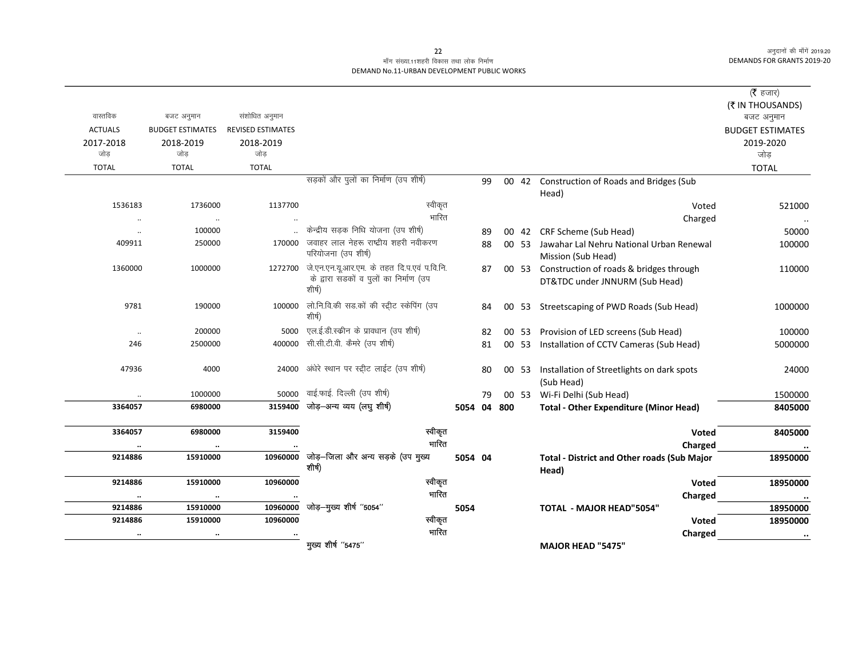# माँग संख्या.11शहरी विकास तथा लोक निर्माण DEMAND No.11-URBAN DEVELOPMENT PUBLIC WORKS

|                  |                                       |                          |                                                      |             |    |       |                                                                      | ( <b>रै</b> हजार)       |
|------------------|---------------------------------------|--------------------------|------------------------------------------------------|-------------|----|-------|----------------------------------------------------------------------|-------------------------|
| वास्तविक         |                                       | संशोधित अनुमान           |                                                      |             |    |       |                                                                      | (₹ IN THOUSANDS)        |
| <b>ACTUALS</b>   | बजट अनुमान<br><b>BUDGET ESTIMATES</b> | <b>REVISED ESTIMATES</b> |                                                      |             |    |       |                                                                      | बजट अनुमान              |
|                  |                                       |                          |                                                      |             |    |       |                                                                      | <b>BUDGET ESTIMATES</b> |
| 2017-2018<br>जोड | 2018-2019<br>जोड                      | 2018-2019<br>जोड         |                                                      |             |    |       |                                                                      | 2019-2020<br>जोड        |
| <b>TOTAL</b>     | <b>TOTAL</b>                          | <b>TOTAL</b>             |                                                      |             |    |       |                                                                      |                         |
|                  |                                       |                          | सड़कों और पुलों का निर्माण (उप शीर्ष)                |             |    |       |                                                                      | <b>TOTAL</b>            |
|                  |                                       |                          |                                                      |             | 99 |       | 00 42 Construction of Roads and Bridges (Sub                         |                         |
| 1536183          | 1736000                               | 1137700                  | स्वीकृत                                              |             |    |       | Head)                                                                |                         |
|                  |                                       |                          | भारित                                                |             |    |       | Voted                                                                | 521000                  |
| $\ddotsc$        | $\ddotsc$<br>100000                   |                          | केन्द्रीय सड़क निधि योजना (उप शीर्ष)                 |             |    |       | Charged                                                              |                         |
| $\ddotsc$        |                                       | 170000                   | जवाहर लाल नेहरू राष्ट्रीय शहरी नवीकरण                |             | 89 |       | 00 42 CRF Scheme (Sub Head)                                          | 50000                   |
| 409911           | 250000                                |                          | परियोजना (उप शीर्ष)                                  |             | 88 |       | 00 53 Jawahar Lal Nehru National Urban Renewal<br>Mission (Sub Head) | 100000                  |
| 1360000          | 1000000                               | 1272700                  | जे.एन.एन.यू.आर.एम. के तहत दि.प.एवं प.वि.नि.          |             | 87 |       | 00 53 Construction of roads & bridges through                        | 110000                  |
|                  |                                       |                          | के द्वारा सडकों व पुलों का निर्माण (उप<br>शीर्ष)     |             |    |       | DT&TDC under JNNURM (Sub Head)                                       |                         |
| 9781             | 190000                                | 100000                   | लो.नि.वि.की सड.कों की स्ट्रीट स्केपिंग (उप<br>शीर्ष) |             | 84 |       | 00 53 Streetscaping of PWD Roads (Sub Head)                          | 1000000                 |
| $\ddotsc$        | 200000                                | 5000                     | एल.ई.डी.स्कीन के प्रावधान (उप शीर्ष)                 |             | 82 | 00 53 | Provision of LED screens (Sub Head)                                  | 100000                  |
| 246              | 2500000                               | 400000                   | सी.सी.टी.वी. कैमरे (उप शीर्ष)                        |             | 81 | 00 53 | Installation of CCTV Cameras (Sub Head)                              | 5000000                 |
| 47936            | 4000                                  | 24000                    | अंधेरे स्थान पर स्ट्रीट लाईट (उप शीर्ष)              |             | 80 | 00 53 | Installation of Streetlights on dark spots                           | 24000                   |
|                  |                                       |                          |                                                      |             |    |       | (Sub Head)                                                           |                         |
|                  | 1000000                               | 50000                    | वाई.फाई. दिल्ली (उप शीर्ष)                           |             | 79 | 00 53 | Wi-Fi Delhi (Sub Head)                                               | 1500000                 |
| 3364057          | 6980000                               | 3159400                  | जोड़-अन्य व्यय (लघु शीर्ष)                           | 5054 04 800 |    |       | <b>Total - Other Expenditure (Minor Head)</b>                        | 8405000                 |
| 3364057          | 6980000                               | 3159400                  | स्वीकृत                                              |             |    |       | Voted                                                                | 8405000                 |
|                  | $\ddotsc$                             |                          | भारित                                                |             |    |       | Charged                                                              |                         |
| 9214886          | 15910000                              | 10960000                 | जोड़-जिला और अन्य सड़के (उप मुख्य                    | 5054 04     |    |       | <b>Total - District and Other roads (Sub Major</b>                   | 18950000                |
|                  |                                       |                          | शीर्ष)                                               |             |    |       | Head)                                                                |                         |
| 9214886          | 15910000                              | 10960000                 | स्वीकृत                                              |             |    |       | Voted                                                                | 18950000                |
|                  | $\ddot{\phantom{a}}$                  |                          | भारित                                                |             |    |       | Charged                                                              | $\cdot\cdot$            |
| 9214886          | 15910000                              | 10960000                 | जोड़-मुख्य शीर्ष "5054"                              | 5054        |    |       | <b>TOTAL - MAJOR HEAD"5054"</b>                                      | 18950000                |
| 9214886          | 15910000                              | 10960000                 | स्वीकृत                                              |             |    |       | Voted                                                                | 18950000                |
|                  |                                       |                          | भारित                                                |             |    |       | Charged                                                              | $\bullet\bullet$        |
|                  |                                       |                          | मुख्य शीर्ष "5475"                                   |             |    |       | <b>MAJOR HEAD "5475"</b>                                             |                         |